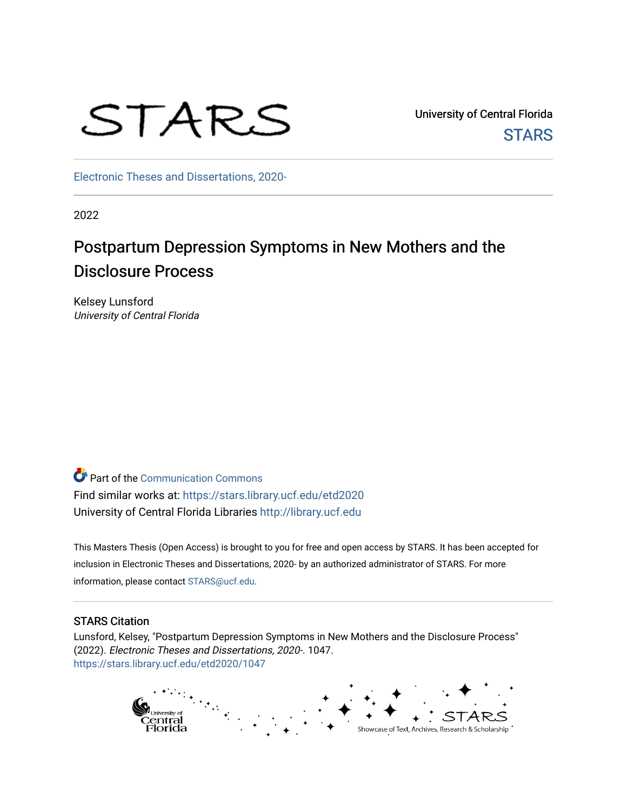# STARS

University of Central Florida **STARS** 

[Electronic Theses and Dissertations, 2020-](https://stars.library.ucf.edu/etd2020) 

2022

# Postpartum Depression Symptoms in New Mothers and the Disclosure Process

Kelsey Lunsford University of Central Florida

Part of the [Communication Commons](https://network.bepress.com/hgg/discipline/325?utm_source=stars.library.ucf.edu%2Fetd2020%2F1047&utm_medium=PDF&utm_campaign=PDFCoverPages)  Find similar works at: <https://stars.library.ucf.edu/etd2020> University of Central Florida Libraries [http://library.ucf.edu](http://library.ucf.edu/) 

This Masters Thesis (Open Access) is brought to you for free and open access by STARS. It has been accepted for inclusion in Electronic Theses and Dissertations, 2020- by an authorized administrator of STARS. For more information, please contact [STARS@ucf.edu.](mailto:STARS@ucf.edu)

#### STARS Citation

Lunsford, Kelsey, "Postpartum Depression Symptoms in New Mothers and the Disclosure Process" (2022). Electronic Theses and Dissertations, 2020-. 1047. [https://stars.library.ucf.edu/etd2020/1047](https://stars.library.ucf.edu/etd2020/1047?utm_source=stars.library.ucf.edu%2Fetd2020%2F1047&utm_medium=PDF&utm_campaign=PDFCoverPages)

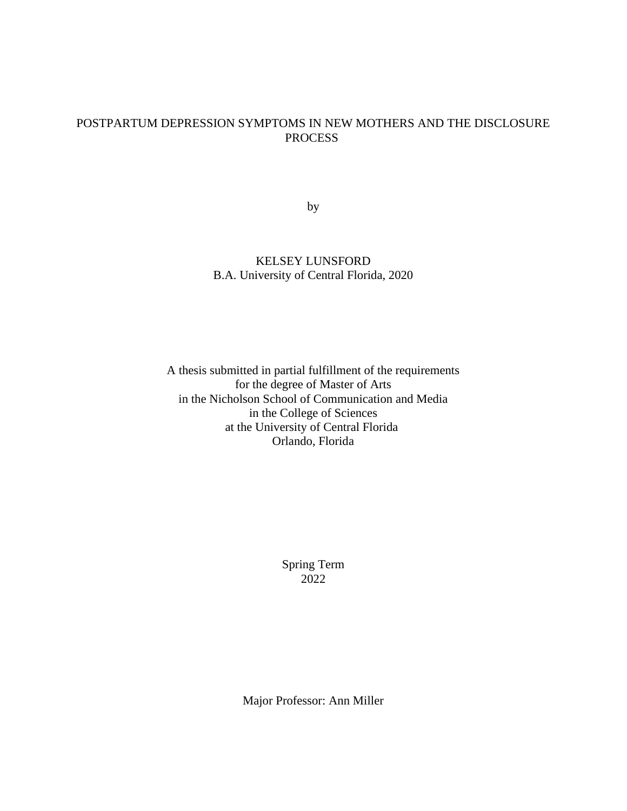## POSTPARTUM DEPRESSION SYMPTOMS IN NEW MOTHERS AND THE DISCLOSURE PROCESS

by

## KELSEY LUNSFORD B.A. University of Central Florida, 2020

A thesis submitted in partial fulfillment of the requirements for the degree of Master of Arts in the Nicholson School of Communication and Media in the College of Sciences at the University of Central Florida Orlando, Florida

> Spring Term 2022

Major Professor: Ann Miller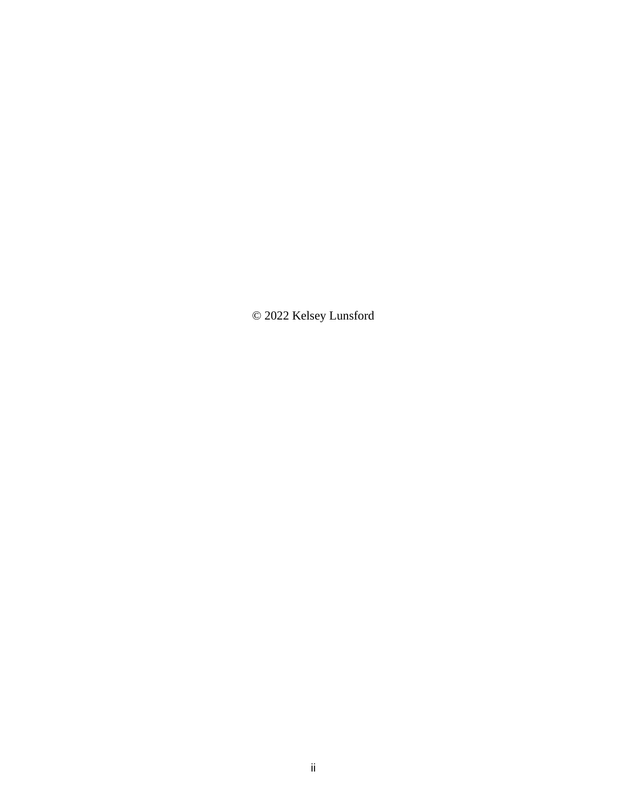© 2022 Kelsey Lunsford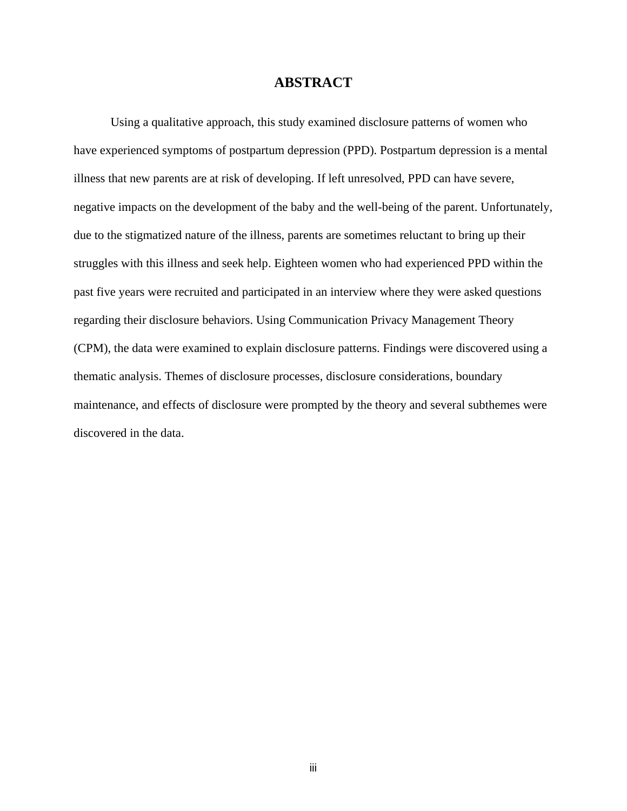## **ABSTRACT**

Using a qualitative approach, this study examined disclosure patterns of women who have experienced symptoms of postpartum depression (PPD). Postpartum depression is a mental illness that new parents are at risk of developing. If left unresolved, PPD can have severe, negative impacts on the development of the baby and the well-being of the parent. Unfortunately, due to the stigmatized nature of the illness, parents are sometimes reluctant to bring up their struggles with this illness and seek help. Eighteen women who had experienced PPD within the past five years were recruited and participated in an interview where they were asked questions regarding their disclosure behaviors. Using Communication Privacy Management Theory (CPM), the data were examined to explain disclosure patterns. Findings were discovered using a thematic analysis. Themes of disclosure processes, disclosure considerations, boundary maintenance, and effects of disclosure were prompted by the theory and several subthemes were discovered in the data.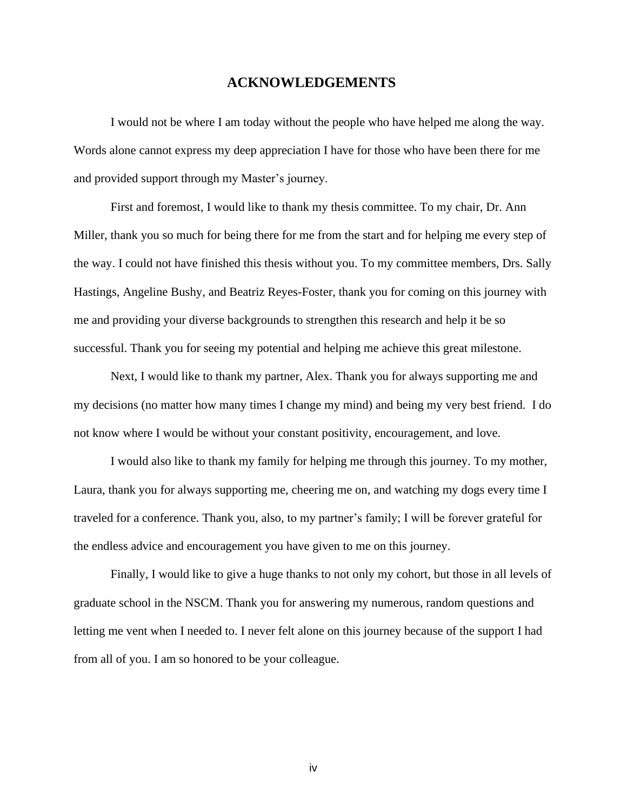### **ACKNOWLEDGEMENTS**

I would not be where I am today without the people who have helped me along the way. Words alone cannot express my deep appreciation I have for those who have been there for me and provided support through my Master's journey.

First and foremost, I would like to thank my thesis committee. To my chair, Dr. Ann Miller, thank you so much for being there for me from the start and for helping me every step of the way. I could not have finished this thesis without you. To my committee members, Drs. Sally Hastings, Angeline Bushy, and Beatriz Reyes-Foster, thank you for coming on this journey with me and providing your diverse backgrounds to strengthen this research and help it be so successful. Thank you for seeing my potential and helping me achieve this great milestone.

Next, I would like to thank my partner, Alex. Thank you for always supporting me and my decisions (no matter how many times I change my mind) and being my very best friend. I do not know where I would be without your constant positivity, encouragement, and love.

I would also like to thank my family for helping me through this journey. To my mother, Laura, thank you for always supporting me, cheering me on, and watching my dogs every time I traveled for a conference. Thank you, also, to my partner's family; I will be forever grateful for the endless advice and encouragement you have given to me on this journey.

Finally, I would like to give a huge thanks to not only my cohort, but those in all levels of graduate school in the NSCM. Thank you for answering my numerous, random questions and letting me vent when I needed to. I never felt alone on this journey because of the support I had from all of you. I am so honored to be your colleague.

iv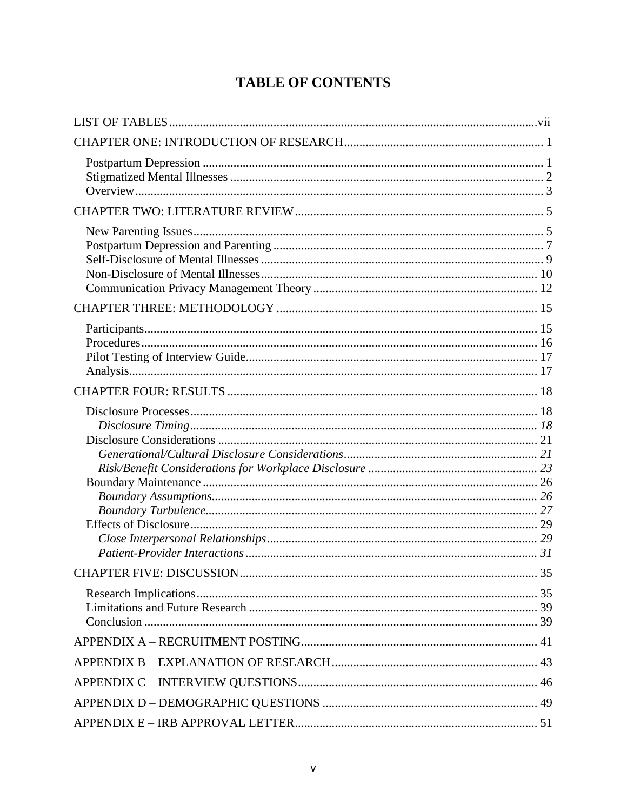# **TABLE OF CONTENTS**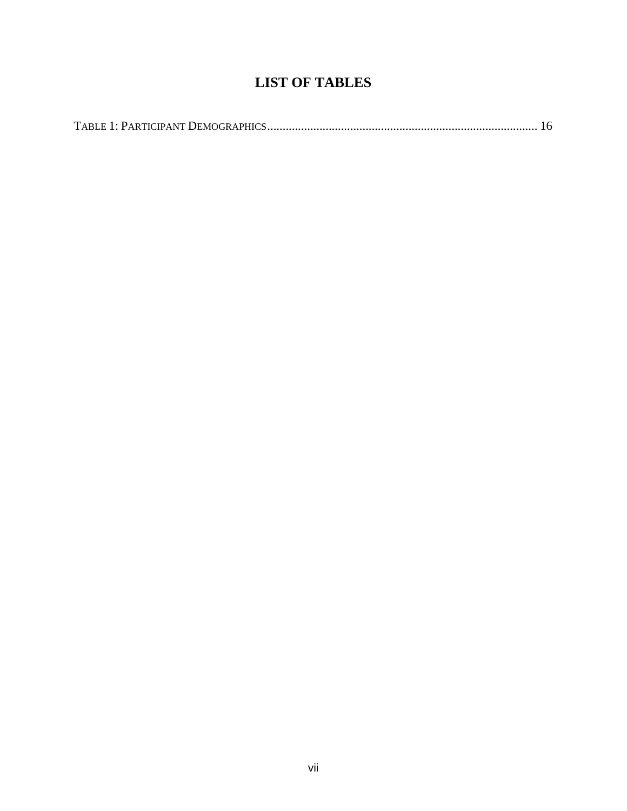# **LIST OF TABLES**

<span id="page-7-0"></span>

|--|--|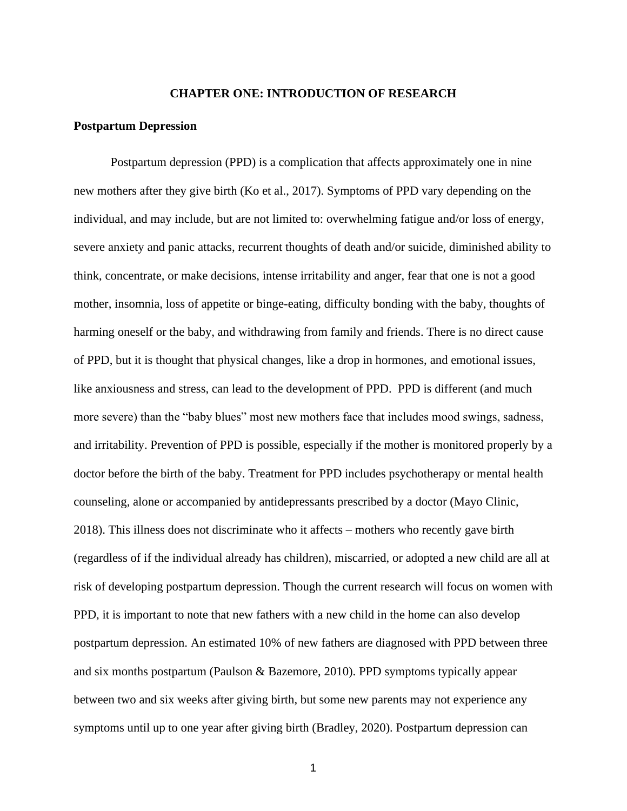#### **CHAPTER ONE: INTRODUCTION OF RESEARCH**

#### <span id="page-8-1"></span><span id="page-8-0"></span>**Postpartum Depression**

Postpartum depression (PPD) is a complication that affects approximately one in nine new mothers after they give birth (Ko et al., 2017). Symptoms of PPD vary depending on the individual, and may include, but are not limited to: overwhelming fatigue and/or loss of energy, severe anxiety and panic attacks, recurrent thoughts of death and/or suicide, diminished ability to think, concentrate, or make decisions, intense irritability and anger, fear that one is not a good mother, insomnia, loss of appetite or binge-eating, difficulty bonding with the baby, thoughts of harming oneself or the baby, and withdrawing from family and friends. There is no direct cause of PPD, but it is thought that physical changes, like a drop in hormones, and emotional issues, like anxiousness and stress, can lead to the development of PPD. PPD is different (and much more severe) than the "baby blues" most new mothers face that includes mood swings, sadness, and irritability. Prevention of PPD is possible, especially if the mother is monitored properly by a doctor before the birth of the baby. Treatment for PPD includes psychotherapy or mental health counseling, alone or accompanied by antidepressants prescribed by a doctor (Mayo Clinic, 2018). This illness does not discriminate who it affects – mothers who recently gave birth (regardless of if the individual already has children), miscarried, or adopted a new child are all at risk of developing postpartum depression. Though the current research will focus on women with PPD, it is important to note that new fathers with a new child in the home can also develop postpartum depression. An estimated 10% of new fathers are diagnosed with PPD between three and six months postpartum (Paulson & Bazemore, 2010). PPD symptoms typically appear between two and six weeks after giving birth, but some new parents may not experience any symptoms until up to one year after giving birth (Bradley, 2020). Postpartum depression can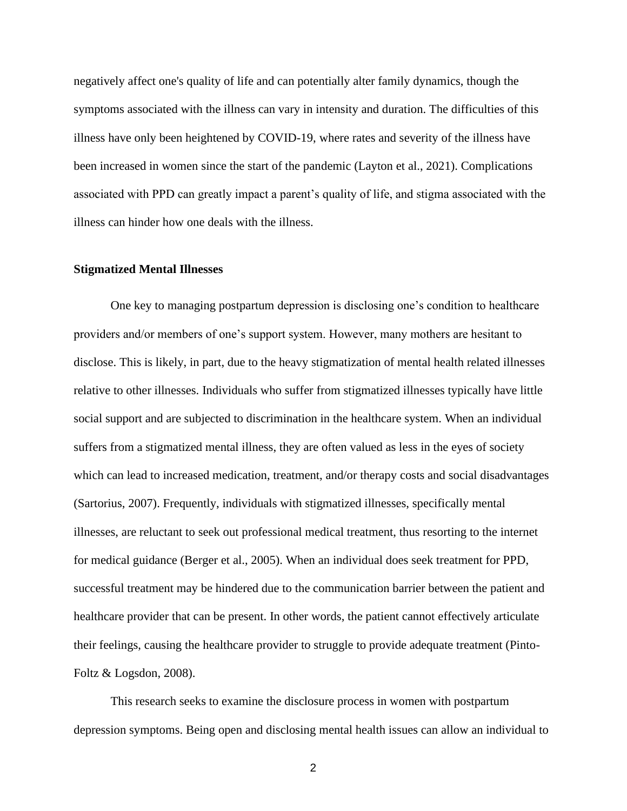negatively affect one's quality of life and can potentially alter family dynamics, though the symptoms associated with the illness can vary in intensity and duration. The difficulties of this illness have only been heightened by COVID-19, where rates and severity of the illness have been increased in women since the start of the pandemic (Layton et al., 2021). Complications associated with PPD can greatly impact a parent's quality of life, and stigma associated with the illness can hinder how one deals with the illness.

#### <span id="page-9-0"></span>**Stigmatized Mental Illnesses**

One key to managing postpartum depression is disclosing one's condition to healthcare providers and/or members of one's support system. However, many mothers are hesitant to disclose. This is likely, in part, due to the heavy stigmatization of mental health related illnesses relative to other illnesses. Individuals who suffer from stigmatized illnesses typically have little social support and are subjected to discrimination in the healthcare system. When an individual suffers from a stigmatized mental illness, they are often valued as less in the eyes of society which can lead to increased medication, treatment, and/or therapy costs and social disadvantages (Sartorius, 2007). Frequently, individuals with stigmatized illnesses, specifically mental illnesses, are reluctant to seek out professional medical treatment, thus resorting to the internet for medical guidance (Berger et al., 2005). When an individual does seek treatment for PPD, successful treatment may be hindered due to the communication barrier between the patient and healthcare provider that can be present. In other words, the patient cannot effectively articulate their feelings, causing the healthcare provider to struggle to provide adequate treatment (Pinto-Foltz  $&$  Logsdon, 2008).

This research seeks to examine the disclosure process in women with postpartum depression symptoms. Being open and disclosing mental health issues can allow an individual to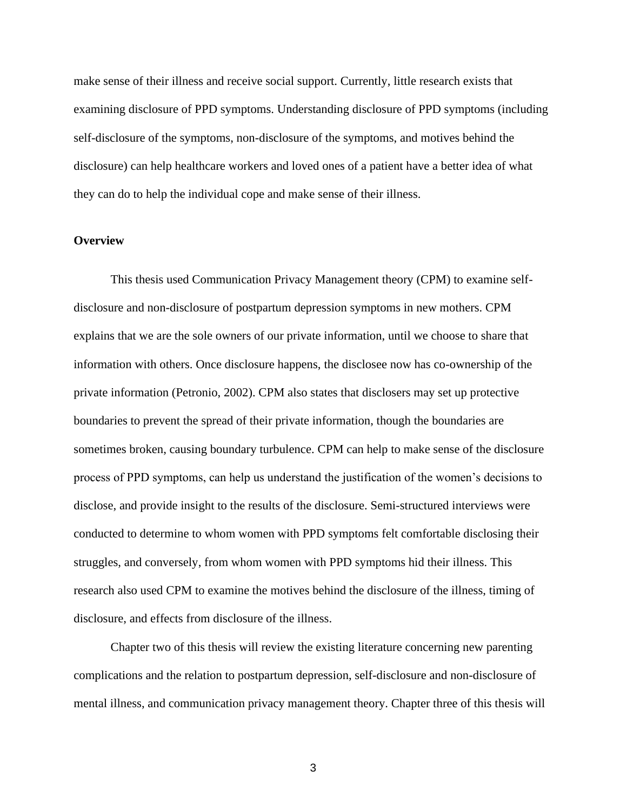make sense of their illness and receive social support. Currently, little research exists that examining disclosure of PPD symptoms. Understanding disclosure of PPD symptoms (including self-disclosure of the symptoms, non-disclosure of the symptoms, and motives behind the disclosure) can help healthcare workers and loved ones of a patient have a better idea of what they can do to help the individual cope and make sense of their illness.

#### <span id="page-10-0"></span>**Overview**

This thesis used Communication Privacy Management theory (CPM) to examine selfdisclosure and non-disclosure of postpartum depression symptoms in new mothers. CPM explains that we are the sole owners of our private information, until we choose to share that information with others. Once disclosure happens, the disclosee now has co-ownership of the private information (Petronio, 2002). CPM also states that disclosers may set up protective boundaries to prevent the spread of their private information, though the boundaries are sometimes broken, causing boundary turbulence. CPM can help to make sense of the disclosure process of PPD symptoms, can help us understand the justification of the women's decisions to disclose, and provide insight to the results of the disclosure. Semi-structured interviews were conducted to determine to whom women with PPD symptoms felt comfortable disclosing their struggles, and conversely, from whom women with PPD symptoms hid their illness. This research also used CPM to examine the motives behind the disclosure of the illness, timing of disclosure, and effects from disclosure of the illness.

Chapter two of this thesis will review the existing literature concerning new parenting complications and the relation to postpartum depression, self-disclosure and non-disclosure of mental illness, and communication privacy management theory. Chapter three of this thesis will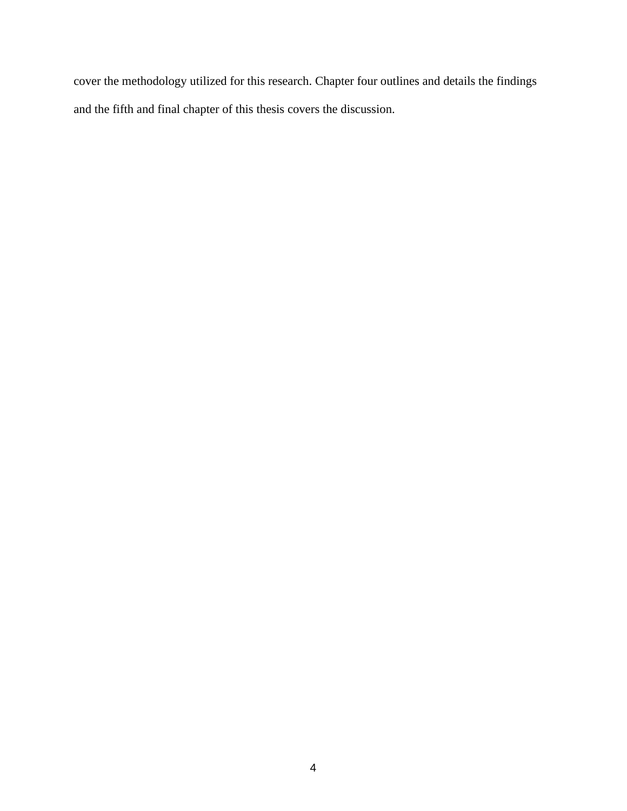cover the methodology utilized for this research. Chapter four outlines and details the findings and the fifth and final chapter of this thesis covers the discussion.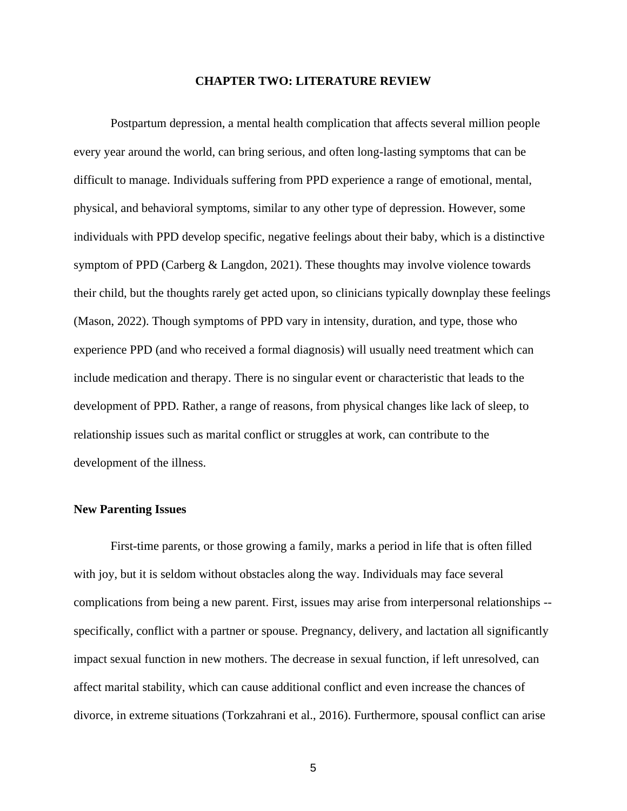#### **CHAPTER TWO: LITERATURE REVIEW**

<span id="page-12-0"></span>Postpartum depression, a mental health complication that affects several million people every year around the world, can bring serious, and often long-lasting symptoms that can be difficult to manage. Individuals suffering from PPD experience a range of emotional, mental, physical, and behavioral symptoms, similar to any other type of depression. However, some individuals with PPD develop specific, negative feelings about their baby, which is a distinctive symptom of PPD (Carberg & Langdon, 2021). These thoughts may involve violence towards their child, but the thoughts rarely get acted upon, so clinicians typically downplay these feelings (Mason, 2022). Though symptoms of PPD vary in intensity, duration, and type, those who experience PPD (and who received a formal diagnosis) will usually need treatment which can include medication and therapy. There is no singular event or characteristic that leads to the development of PPD. Rather, a range of reasons, from physical changes like lack of sleep, to relationship issues such as marital conflict or struggles at work, can contribute to the development of the illness.

#### <span id="page-12-1"></span>**New Parenting Issues**

First-time parents, or those growing a family, marks a period in life that is often filled with joy, but it is seldom without obstacles along the way. Individuals may face several complications from being a new parent. First, issues may arise from interpersonal relationships - specifically, conflict with a partner or spouse. Pregnancy, delivery, and lactation all significantly impact sexual function in new mothers. The decrease in sexual function, if left unresolved, can affect marital stability, which can cause additional conflict and even increase the chances of divorce, in extreme situations (Torkzahrani et al., 2016). Furthermore, spousal conflict can arise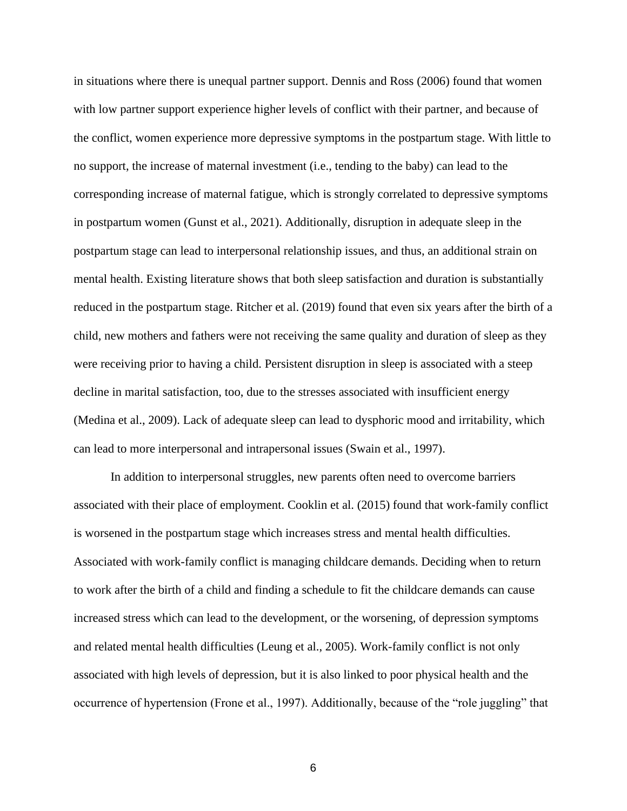in situations where there is unequal partner support. Dennis and Ross (2006) found that women with low partner support experience higher levels of conflict with their partner, and because of the conflict, women experience more depressive symptoms in the postpartum stage. With little to no support, the increase of maternal investment (i.e., tending to the baby) can lead to the corresponding increase of maternal fatigue, which is strongly correlated to depressive symptoms in postpartum women (Gunst et al., 2021). Additionally, disruption in adequate sleep in the postpartum stage can lead to interpersonal relationship issues, and thus, an additional strain on mental health. Existing literature shows that both sleep satisfaction and duration is substantially reduced in the postpartum stage. Ritcher et al. (2019) found that even six years after the birth of a child, new mothers and fathers were not receiving the same quality and duration of sleep as they were receiving prior to having a child. Persistent disruption in sleep is associated with a steep decline in marital satisfaction, too, due to the stresses associated with insufficient energy (Medina et al., 2009). Lack of adequate sleep can lead to dysphoric mood and irritability, which can lead to more interpersonal and intrapersonal issues (Swain et al., 1997).

 In addition to interpersonal struggles, new parents often need to overcome barriers associated with their place of employment. Cooklin et al. (2015) found that work-family conflict is worsened in the postpartum stage which increases stress and mental health difficulties. Associated with work-family conflict is managing childcare demands. Deciding when to return to work after the birth of a child and finding a schedule to fit the childcare demands can cause increased stress which can lead to the development, or the worsening, of depression symptoms and related mental health difficulties (Leung et al., 2005). Work-family conflict is not only associated with high levels of depression, but it is also linked to poor physical health and the occurrence of hypertension (Frone et al., 1997). Additionally, because of the "role juggling" that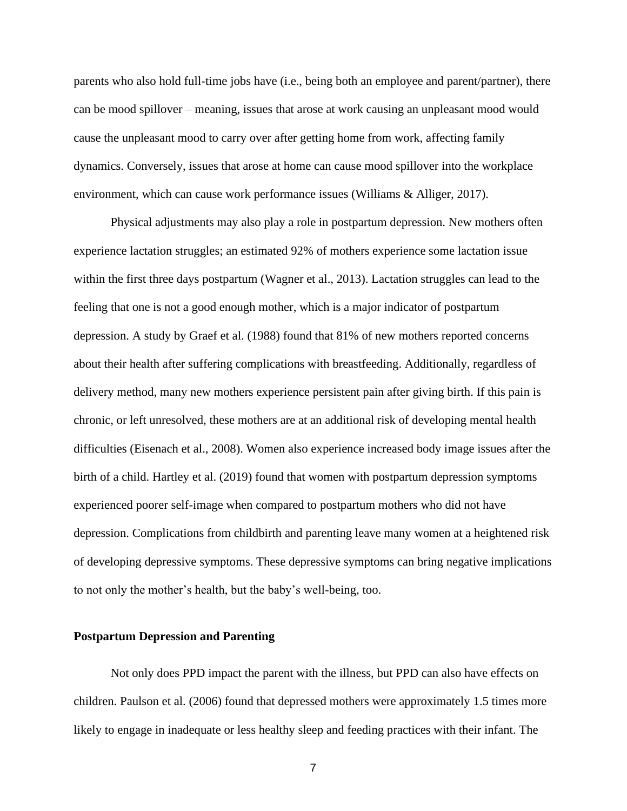parents who also hold full-time jobs have (i.e., being both an employee and parent/partner), there can be mood spillover – meaning, issues that arose at work causing an unpleasant mood would cause the unpleasant mood to carry over after getting home from work, affecting family dynamics. Conversely, issues that arose at home can cause mood spillover into the workplace environment, which can cause work performance issues (Williams & Alliger, 2017).

 Physical adjustments may also play a role in postpartum depression. New mothers often experience lactation struggles; an estimated 92% of mothers experience some lactation issue within the first three days postpartum (Wagner et al., 2013). Lactation struggles can lead to the feeling that one is not a good enough mother, which is a major indicator of postpartum depression. A study by Graef et al. (1988) found that 81% of new mothers reported concerns about their health after suffering complications with breastfeeding. Additionally, regardless of delivery method, many new mothers experience persistent pain after giving birth. If this pain is chronic, or left unresolved, these mothers are at an additional risk of developing mental health difficulties (Eisenach et al., 2008). Women also experience increased body image issues after the birth of a child. Hartley et al. (2019) found that women with postpartum depression symptoms experienced poorer self-image when compared to postpartum mothers who did not have depression. Complications from childbirth and parenting leave many women at a heightened risk of developing depressive symptoms. These depressive symptoms can bring negative implications to not only the mother's health, but the baby's well-being, too.

#### <span id="page-14-0"></span>**Postpartum Depression and Parenting**

Not only does PPD impact the parent with the illness, but PPD can also have effects on children. Paulson et al. (2006) found that depressed mothers were approximately 1.5 times more likely to engage in inadequate or less healthy sleep and feeding practices with their infant. The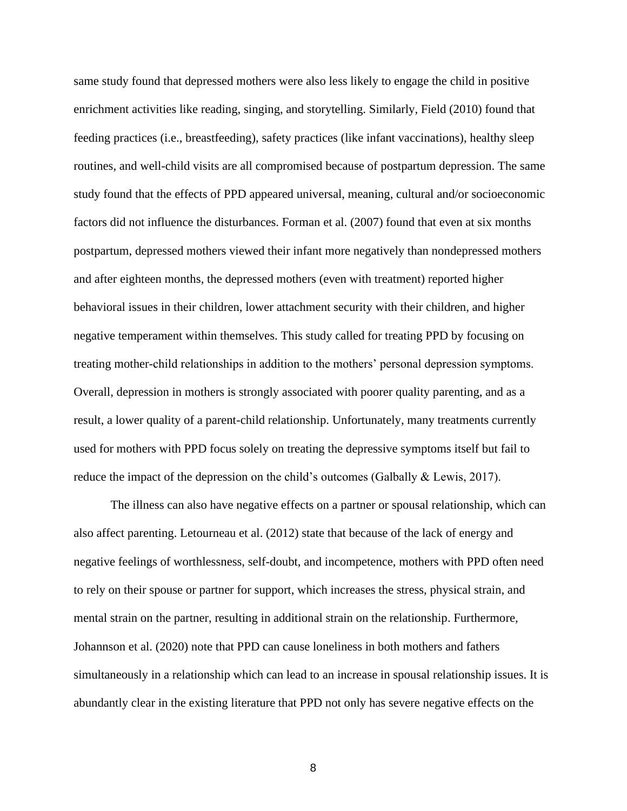same study found that depressed mothers were also less likely to engage the child in positive enrichment activities like reading, singing, and storytelling. Similarly, Field (2010) found that feeding practices (i.e., breastfeeding), safety practices (like infant vaccinations), healthy sleep routines, and well-child visits are all compromised because of postpartum depression. The same study found that the effects of PPD appeared universal, meaning, cultural and/or socioeconomic factors did not influence the disturbances. Forman et al. (2007) found that even at six months postpartum, depressed mothers viewed their infant more negatively than nondepressed mothers and after eighteen months, the depressed mothers (even with treatment) reported higher behavioral issues in their children, lower attachment security with their children, and higher negative temperament within themselves. This study called for treating PPD by focusing on treating mother-child relationships in addition to the mothers' personal depression symptoms. Overall, depression in mothers is strongly associated with poorer quality parenting, and as a result, a lower quality of a parent-child relationship. Unfortunately, many treatments currently used for mothers with PPD focus solely on treating the depressive symptoms itself but fail to reduce the impact of the depression on the child's outcomes (Galbally & Lewis, 2017).

The illness can also have negative effects on a partner or spousal relationship, which can also affect parenting. Letourneau et al. (2012) state that because of the lack of energy and negative feelings of worthlessness, self-doubt, and incompetence, mothers with PPD often need to rely on their spouse or partner for support, which increases the stress, physical strain, and mental strain on the partner, resulting in additional strain on the relationship. Furthermore, Johannson et al. (2020) note that PPD can cause loneliness in both mothers and fathers simultaneously in a relationship which can lead to an increase in spousal relationship issues. It is abundantly clear in the existing literature that PPD not only has severe negative effects on the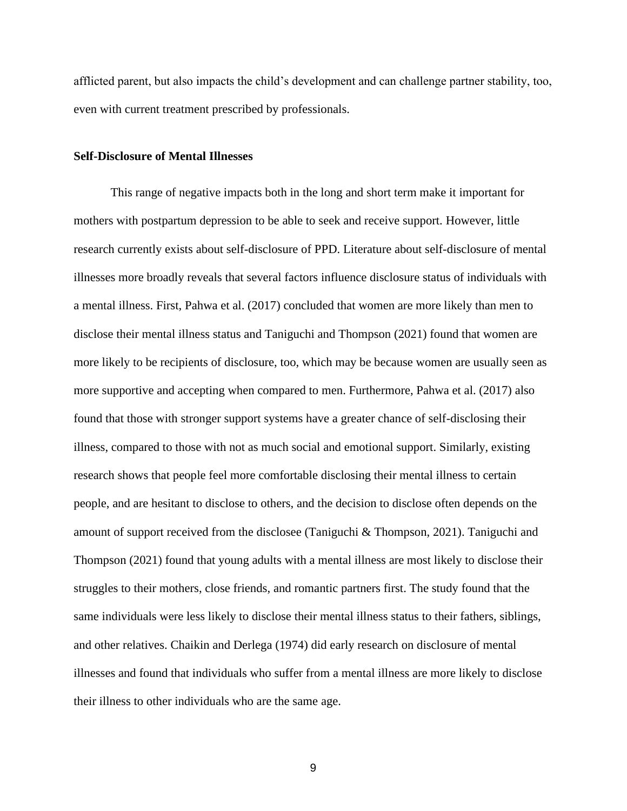afflicted parent, but also impacts the child's development and can challenge partner stability, too, even with current treatment prescribed by professionals.

#### <span id="page-16-0"></span>**Self-Disclosure of Mental Illnesses**

This range of negative impacts both in the long and short term make it important for mothers with postpartum depression to be able to seek and receive support. However, little research currently exists about self-disclosure of PPD. Literature about self-disclosure of mental illnesses more broadly reveals that several factors influence disclosure status of individuals with a mental illness. First, Pahwa et al. (2017) concluded that women are more likely than men to disclose their mental illness status and Taniguchi and Thompson (2021) found that women are more likely to be recipients of disclosure, too, which may be because women are usually seen as more supportive and accepting when compared to men. Furthermore, Pahwa et al. (2017) also found that those with stronger support systems have a greater chance of self-disclosing their illness, compared to those with not as much social and emotional support. Similarly, existing research shows that people feel more comfortable disclosing their mental illness to certain people, and are hesitant to disclose to others, and the decision to disclose often depends on the amount of support received from the disclosee (Taniguchi & Thompson, 2021). Taniguchi and Thompson (2021) found that young adults with a mental illness are most likely to disclose their struggles to their mothers, close friends, and romantic partners first. The study found that the same individuals were less likely to disclose their mental illness status to their fathers, siblings, and other relatives. Chaikin and Derlega (1974) did early research on disclosure of mental illnesses and found that individuals who suffer from a mental illness are more likely to disclose their illness to other individuals who are the same age.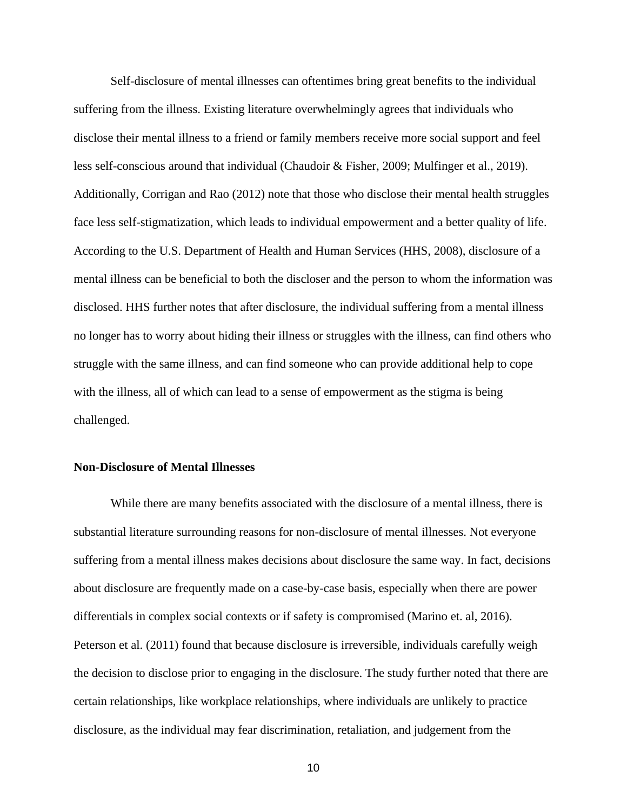Self-disclosure of mental illnesses can oftentimes bring great benefits to the individual suffering from the illness. Existing literature overwhelmingly agrees that individuals who disclose their mental illness to a friend or family members receive more social support and feel less self-conscious around that individual (Chaudoir & Fisher, 2009; Mulfinger et al., 2019). Additionally, Corrigan and Rao (2012) note that those who disclose their mental health struggles face less self-stigmatization, which leads to individual empowerment and a better quality of life. According to the U.S. Department of Health and Human Services (HHS, 2008), disclosure of a mental illness can be beneficial to both the discloser and the person to whom the information was disclosed. HHS further notes that after disclosure, the individual suffering from a mental illness no longer has to worry about hiding their illness or struggles with the illness, can find others who struggle with the same illness, and can find someone who can provide additional help to cope with the illness, all of which can lead to a sense of empowerment as the stigma is being challenged.

#### <span id="page-17-0"></span>**Non-Disclosure of Mental Illnesses**

While there are many benefits associated with the disclosure of a mental illness, there is substantial literature surrounding reasons for non-disclosure of mental illnesses. Not everyone suffering from a mental illness makes decisions about disclosure the same way. In fact, decisions about disclosure are frequently made on a case-by-case basis, especially when there are power differentials in complex social contexts or if safety is compromised (Marino et. al, 2016). Peterson et al. (2011) found that because disclosure is irreversible, individuals carefully weigh the decision to disclose prior to engaging in the disclosure. The study further noted that there are certain relationships, like workplace relationships, where individuals are unlikely to practice disclosure, as the individual may fear discrimination, retaliation, and judgement from the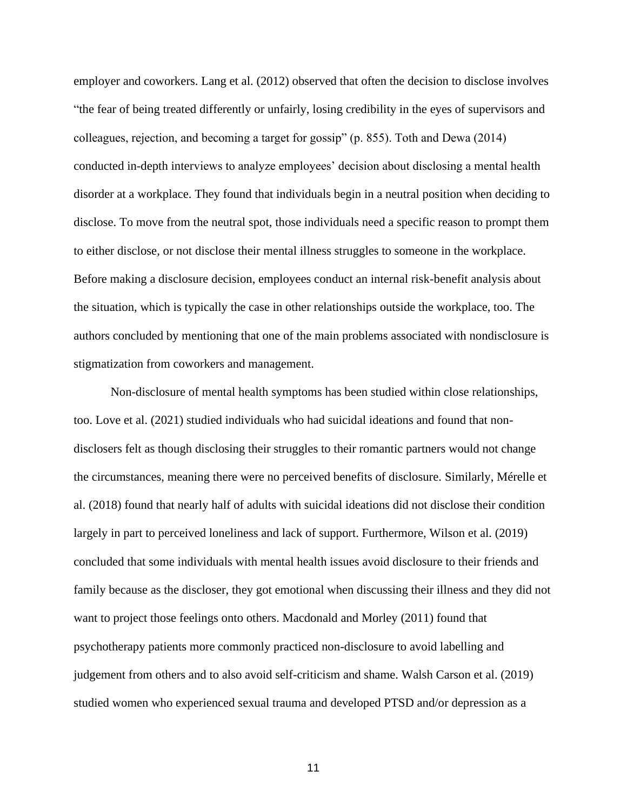employer and coworkers. Lang et al. (2012) observed that often the decision to disclose involves "the fear of being treated differently or unfairly, losing credibility in the eyes of supervisors and colleagues, rejection, and becoming a target for gossip" (p. 855). Toth and Dewa (2014) conducted in-depth interviews to analyze employees' decision about disclosing a mental health disorder at a workplace. They found that individuals begin in a neutral position when deciding to disclose. To move from the neutral spot, those individuals need a specific reason to prompt them to either disclose, or not disclose their mental illness struggles to someone in the workplace. Before making a disclosure decision, employees conduct an internal risk-benefit analysis about the situation, which is typically the case in other relationships outside the workplace, too. The authors concluded by mentioning that one of the main problems associated with nondisclosure is stigmatization from coworkers and management.

Non-disclosure of mental health symptoms has been studied within close relationships, too. Love et al. (2021) studied individuals who had suicidal ideations and found that nondisclosers felt as though disclosing their struggles to their romantic partners would not change the circumstances, meaning there were no perceived benefits of disclosure. Similarly, Mérelle et al. (2018) found that nearly half of adults with suicidal ideations did not disclose their condition largely in part to perceived loneliness and lack of support. Furthermore, Wilson et al. (2019) concluded that some individuals with mental health issues avoid disclosure to their friends and family because as the discloser, they got emotional when discussing their illness and they did not want to project those feelings onto others. Macdonald and Morley (2011) found that psychotherapy patients more commonly practiced non-disclosure to avoid labelling and judgement from others and to also avoid self-criticism and shame. Walsh Carson et al. (2019) studied women who experienced sexual trauma and developed PTSD and/or depression as a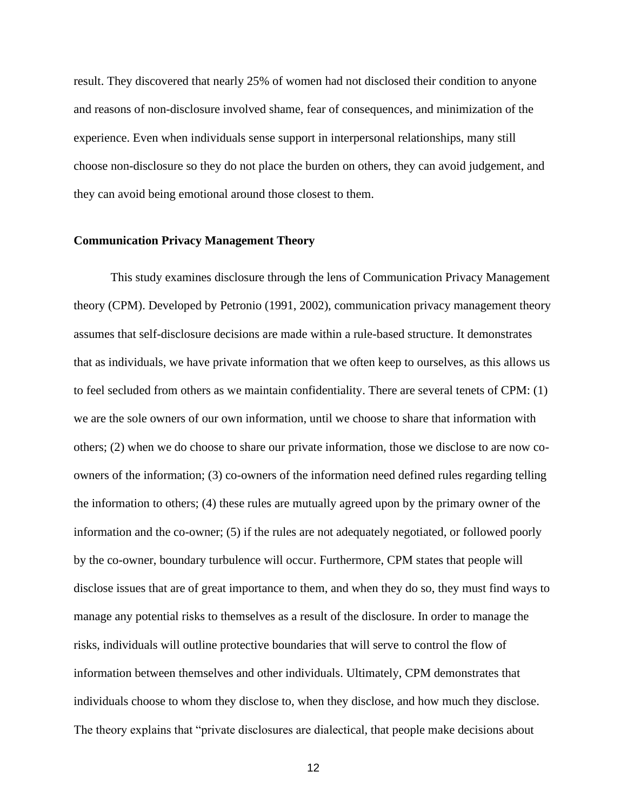result. They discovered that nearly 25% of women had not disclosed their condition to anyone and reasons of non-disclosure involved shame, fear of consequences, and minimization of the experience. Even when individuals sense support in interpersonal relationships, many still choose non-disclosure so they do not place the burden on others, they can avoid judgement, and they can avoid being emotional around those closest to them.

#### <span id="page-19-0"></span>**Communication Privacy Management Theory**

This study examines disclosure through the lens of Communication Privacy Management theory (CPM). Developed by Petronio (1991, 2002), communication privacy management theory assumes that self-disclosure decisions are made within a rule-based structure. It demonstrates that as individuals, we have private information that we often keep to ourselves, as this allows us to feel secluded from others as we maintain confidentiality. There are several tenets of CPM: (1) we are the sole owners of our own information, until we choose to share that information with others; (2) when we do choose to share our private information, those we disclose to are now coowners of the information; (3) co-owners of the information need defined rules regarding telling the information to others; (4) these rules are mutually agreed upon by the primary owner of the information and the co-owner; (5) if the rules are not adequately negotiated, or followed poorly by the co-owner, boundary turbulence will occur. Furthermore, CPM states that people will disclose issues that are of great importance to them, and when they do so, they must find ways to manage any potential risks to themselves as a result of the disclosure. In order to manage the risks, individuals will outline protective boundaries that will serve to control the flow of information between themselves and other individuals. Ultimately, CPM demonstrates that individuals choose to whom they disclose to, when they disclose, and how much they disclose. The theory explains that "private disclosures are dialectical, that people make decisions about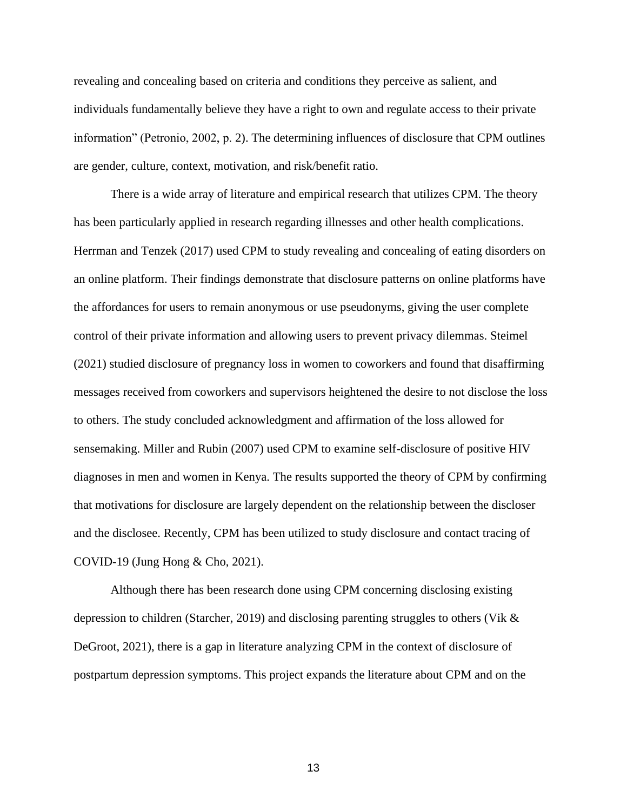revealing and concealing based on criteria and conditions they perceive as salient, and individuals fundamentally believe they have a right to own and regulate access to their private information" (Petronio, 2002, p. 2). The determining influences of disclosure that CPM outlines are gender, culture, context, motivation, and risk/benefit ratio.

There is a wide array of literature and empirical research that utilizes CPM. The theory has been particularly applied in research regarding illnesses and other health complications. Herrman and Tenzek (2017) used CPM to study revealing and concealing of eating disorders on an online platform. Their findings demonstrate that disclosure patterns on online platforms have the affordances for users to remain anonymous or use pseudonyms, giving the user complete control of their private information and allowing users to prevent privacy dilemmas. Steimel (2021) studied disclosure of pregnancy loss in women to coworkers and found that disaffirming messages received from coworkers and supervisors heightened the desire to not disclose the loss to others. The study concluded acknowledgment and affirmation of the loss allowed for sensemaking. Miller and Rubin (2007) used CPM to examine self-disclosure of positive HIV diagnoses in men and women in Kenya. The results supported the theory of CPM by confirming that motivations for disclosure are largely dependent on the relationship between the discloser and the disclosee. Recently, CPM has been utilized to study disclosure and contact tracing of COVID-19 (Jung Hong & Cho, 2021).

Although there has been research done using CPM concerning disclosing existing depression to children (Starcher, 2019) and disclosing parenting struggles to others (Vik & DeGroot, 2021), there is a gap in literature analyzing CPM in the context of disclosure of postpartum depression symptoms. This project expands the literature about CPM and on the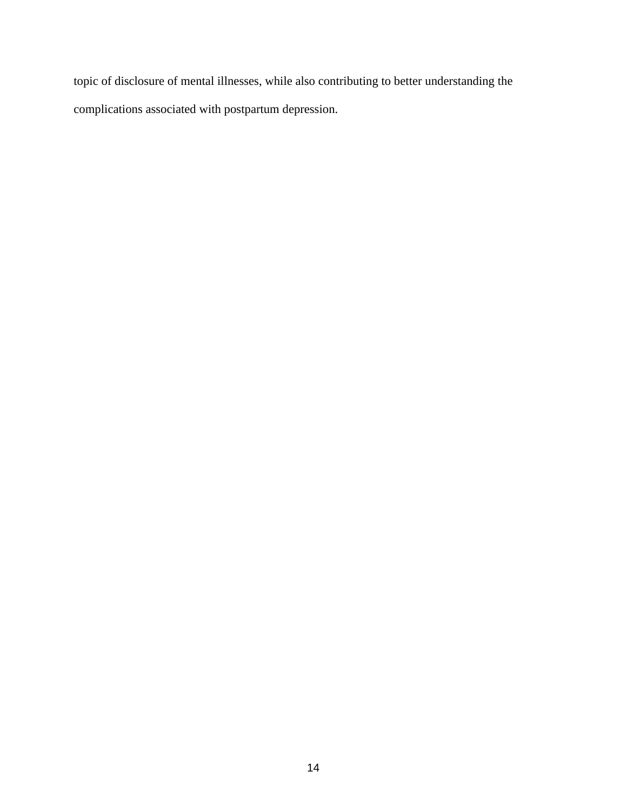topic of disclosure of mental illnesses, while also contributing to better understanding the complications associated with postpartum depression.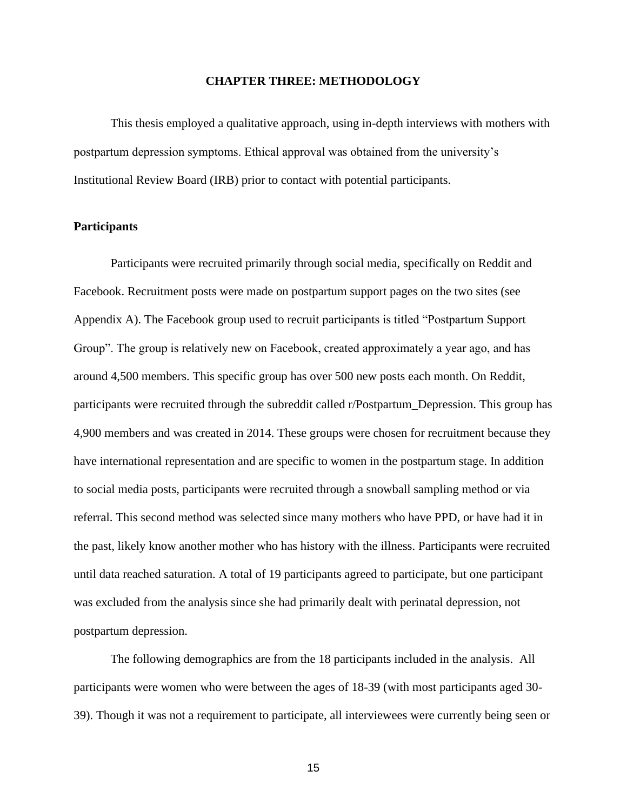#### **CHAPTER THREE: METHODOLOGY**

<span id="page-22-0"></span>This thesis employed a qualitative approach, using in-depth interviews with mothers with postpartum depression symptoms. Ethical approval was obtained from the university's Institutional Review Board (IRB) prior to contact with potential participants.

#### <span id="page-22-1"></span>**Participants**

Participants were recruited primarily through social media, specifically on Reddit and Facebook. Recruitment posts were made on postpartum support pages on the two sites (see Appendix A). The Facebook group used to recruit participants is titled "Postpartum Support Group". The group is relatively new on Facebook, created approximately a year ago, and has around 4,500 members. This specific group has over 500 new posts each month. On Reddit, participants were recruited through the subreddit called r/Postpartum\_Depression. This group has 4,900 members and was created in 2014. These groups were chosen for recruitment because they have international representation and are specific to women in the postpartum stage. In addition to social media posts, participants were recruited through a snowball sampling method or via referral. This second method was selected since many mothers who have PPD, or have had it in the past, likely know another mother who has history with the illness. Participants were recruited until data reached saturation. A total of 19 participants agreed to participate, but one participant was excluded from the analysis since she had primarily dealt with perinatal depression, not postpartum depression.

The following demographics are from the 18 participants included in the analysis. All participants were women who were between the ages of 18-39 (with most participants aged 30- 39). Though it was not a requirement to participate, all interviewees were currently being seen or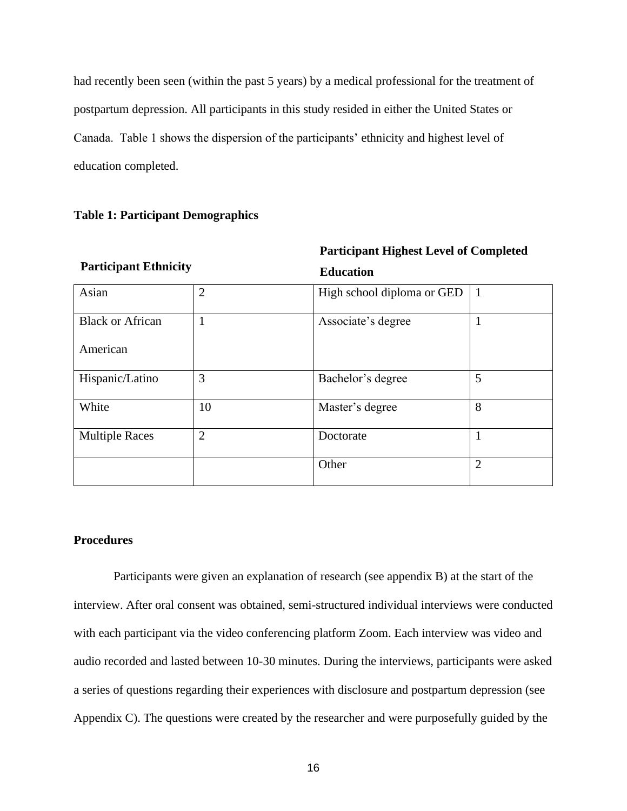had recently been seen (within the past 5 years) by a medical professional for the treatment of postpartum depression. All participants in this study resided in either the United States or Canada. Table 1 shows the dispersion of the participants' ethnicity and highest level of education completed.

# <span id="page-23-1"></span>**Table 1: Participant Demographics**

| <b>Participant Ethnicity</b> |                | <b>Education</b>           |                |
|------------------------------|----------------|----------------------------|----------------|
| Asian                        | $\overline{2}$ | High school diploma or GED | $\mathbf{1}$   |
| <b>Black or African</b>      | $\mathbf{1}$   | Associate's degree         |                |
| American                     |                |                            |                |
| Hispanic/Latino              | 3              | Bachelor's degree          | 5              |
| White                        | 10             | Master's degree            | 8              |
| <b>Multiple Races</b>        | $\overline{2}$ | Doctorate                  | 1              |
|                              |                | Other                      | $\overline{2}$ |

**Participant Highest Level of Completed** 

#### <span id="page-23-0"></span>**Procedures**

Participants were given an explanation of research (see appendix B) at the start of the interview. After oral consent was obtained, semi-structured individual interviews were conducted with each participant via the video conferencing platform Zoom. Each interview was video and audio recorded and lasted between 10-30 minutes. During the interviews, participants were asked a series of questions regarding their experiences with disclosure and postpartum depression (see Appendix C). The questions were created by the researcher and were purposefully guided by the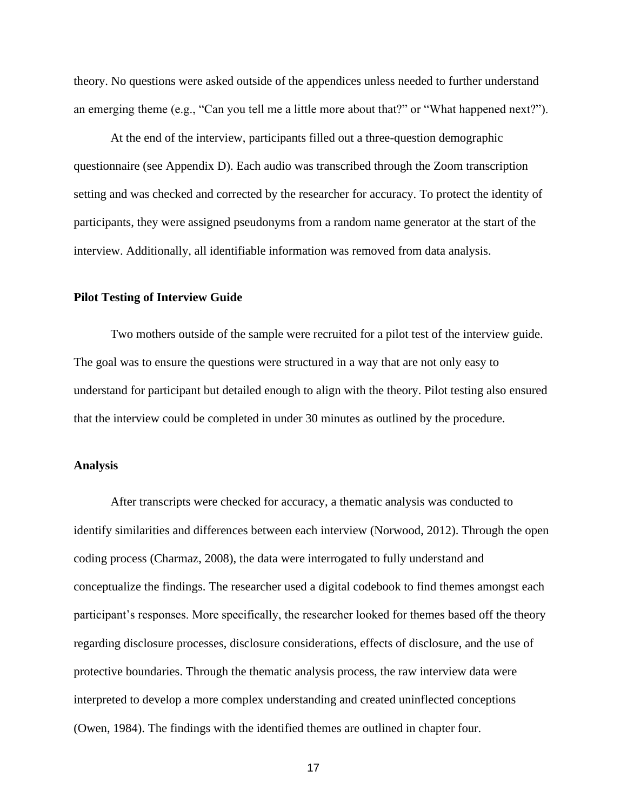theory. No questions were asked outside of the appendices unless needed to further understand an emerging theme (e.g., "Can you tell me a little more about that?" or "What happened next?").

At the end of the interview, participants filled out a three-question demographic questionnaire (see Appendix D). Each audio was transcribed through the Zoom transcription setting and was checked and corrected by the researcher for accuracy. To protect the identity of participants, they were assigned pseudonyms from a random name generator at the start of the interview. Additionally, all identifiable information was removed from data analysis.

#### <span id="page-24-0"></span>**Pilot Testing of Interview Guide**

Two mothers outside of the sample were recruited for a pilot test of the interview guide. The goal was to ensure the questions were structured in a way that are not only easy to understand for participant but detailed enough to align with the theory. Pilot testing also ensured that the interview could be completed in under 30 minutes as outlined by the procedure.

#### <span id="page-24-1"></span>**Analysis**

After transcripts were checked for accuracy, a thematic analysis was conducted to identify similarities and differences between each interview (Norwood, 2012). Through the open coding process (Charmaz, 2008), the data were interrogated to fully understand and conceptualize the findings. The researcher used a digital codebook to find themes amongst each participant's responses. More specifically, the researcher looked for themes based off the theory regarding disclosure processes, disclosure considerations, effects of disclosure, and the use of protective boundaries. Through the thematic analysis process, the raw interview data were interpreted to develop a more complex understanding and created uninflected conceptions (Owen, 1984). The findings with the identified themes are outlined in chapter four.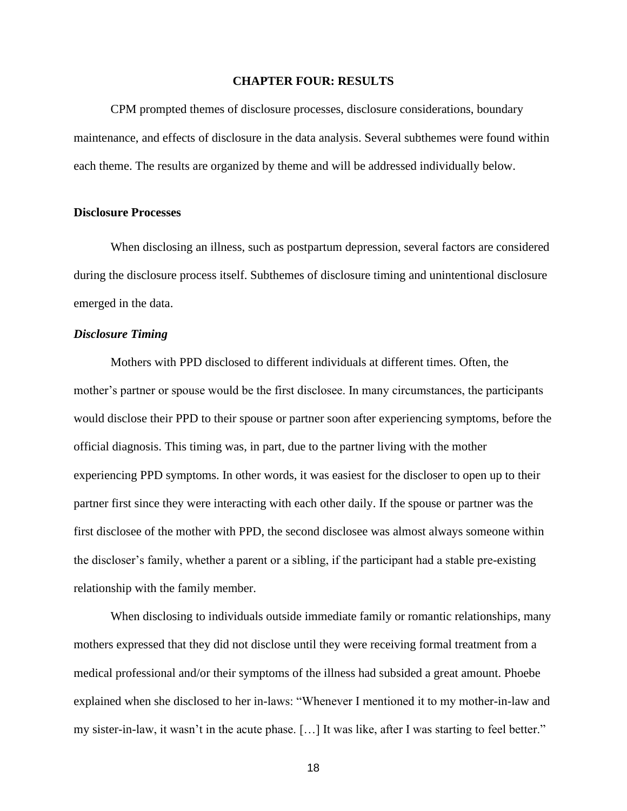#### **CHAPTER FOUR: RESULTS**

<span id="page-25-0"></span>CPM prompted themes of disclosure processes, disclosure considerations, boundary maintenance, and effects of disclosure in the data analysis. Several subthemes were found within each theme. The results are organized by theme and will be addressed individually below.

#### <span id="page-25-1"></span>**Disclosure Processes**

When disclosing an illness, such as postpartum depression, several factors are considered during the disclosure process itself. Subthemes of disclosure timing and unintentional disclosure emerged in the data.

#### <span id="page-25-2"></span>*Disclosure Timing*

Mothers with PPD disclosed to different individuals at different times. Often, the mother's partner or spouse would be the first disclosee. In many circumstances, the participants would disclose their PPD to their spouse or partner soon after experiencing symptoms, before the official diagnosis. This timing was, in part, due to the partner living with the mother experiencing PPD symptoms. In other words, it was easiest for the discloser to open up to their partner first since they were interacting with each other daily. If the spouse or partner was the first disclosee of the mother with PPD, the second disclosee was almost always someone within the discloser's family, whether a parent or a sibling, if the participant had a stable pre-existing relationship with the family member.

When disclosing to individuals outside immediate family or romantic relationships, many mothers expressed that they did not disclose until they were receiving formal treatment from a medical professional and/or their symptoms of the illness had subsided a great amount. Phoebe explained when she disclosed to her in-laws: "Whenever I mentioned it to my mother-in-law and my sister-in-law, it wasn't in the acute phase. […] It was like, after I was starting to feel better."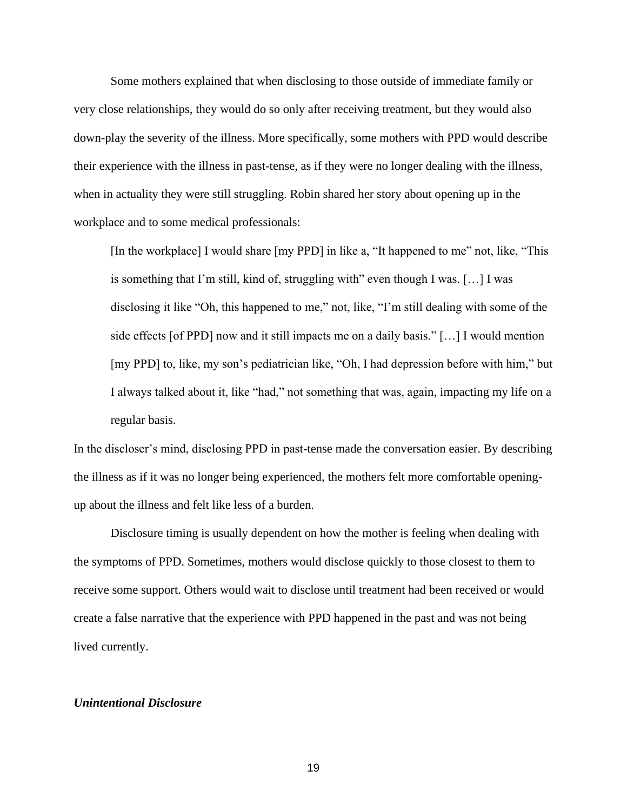Some mothers explained that when disclosing to those outside of immediate family or very close relationships, they would do so only after receiving treatment, but they would also down-play the severity of the illness. More specifically, some mothers with PPD would describe their experience with the illness in past-tense, as if they were no longer dealing with the illness, when in actuality they were still struggling. Robin shared her story about opening up in the workplace and to some medical professionals:

[In the workplace] I would share [my PPD] in like a, "It happened to me" not, like, "This is something that I'm still, kind of, struggling with" even though I was.  $[\dots]$  I was disclosing it like "Oh, this happened to me," not, like, "I'm still dealing with some of the side effects [of PPD] now and it still impacts me on a daily basis." […] I would mention [my PPD] to, like, my son's pediatrician like, "Oh, I had depression before with him," but I always talked about it, like "had," not something that was, again, impacting my life on a regular basis.

In the discloser's mind, disclosing PPD in past-tense made the conversation easier. By describing the illness as if it was no longer being experienced, the mothers felt more comfortable openingup about the illness and felt like less of a burden.

Disclosure timing is usually dependent on how the mother is feeling when dealing with the symptoms of PPD. Sometimes, mothers would disclose quickly to those closest to them to receive some support. Others would wait to disclose until treatment had been received or would create a false narrative that the experience with PPD happened in the past and was not being lived currently.

#### *Unintentional Disclosure*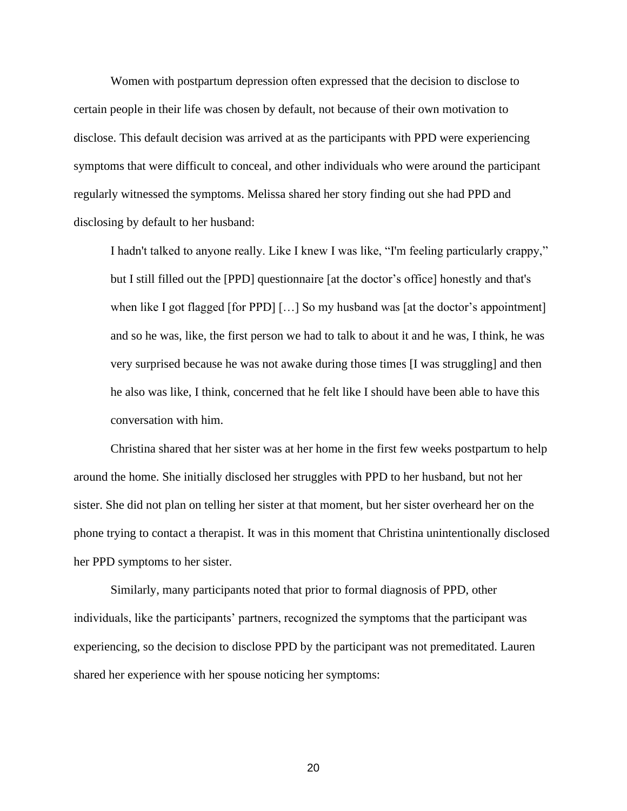Women with postpartum depression often expressed that the decision to disclose to certain people in their life was chosen by default, not because of their own motivation to disclose. This default decision was arrived at as the participants with PPD were experiencing symptoms that were difficult to conceal, and other individuals who were around the participant regularly witnessed the symptoms. Melissa shared her story finding out she had PPD and disclosing by default to her husband:

I hadn't talked to anyone really. Like I knew I was like, "I'm feeling particularly crappy," but I still filled out the [PPD] questionnaire [at the doctor's office] honestly and that's when like I got flagged [for PPD] [...] So my husband was [at the doctor's appointment] and so he was, like, the first person we had to talk to about it and he was, I think, he was very surprised because he was not awake during those times [I was struggling] and then he also was like, I think, concerned that he felt like I should have been able to have this conversation with him.

Christina shared that her sister was at her home in the first few weeks postpartum to help around the home. She initially disclosed her struggles with PPD to her husband, but not her sister. She did not plan on telling her sister at that moment, but her sister overheard her on the phone trying to contact a therapist. It was in this moment that Christina unintentionally disclosed her PPD symptoms to her sister.

Similarly, many participants noted that prior to formal diagnosis of PPD, other individuals, like the participants' partners, recognized the symptoms that the participant was experiencing, so the decision to disclose PPD by the participant was not premeditated. Lauren shared her experience with her spouse noticing her symptoms: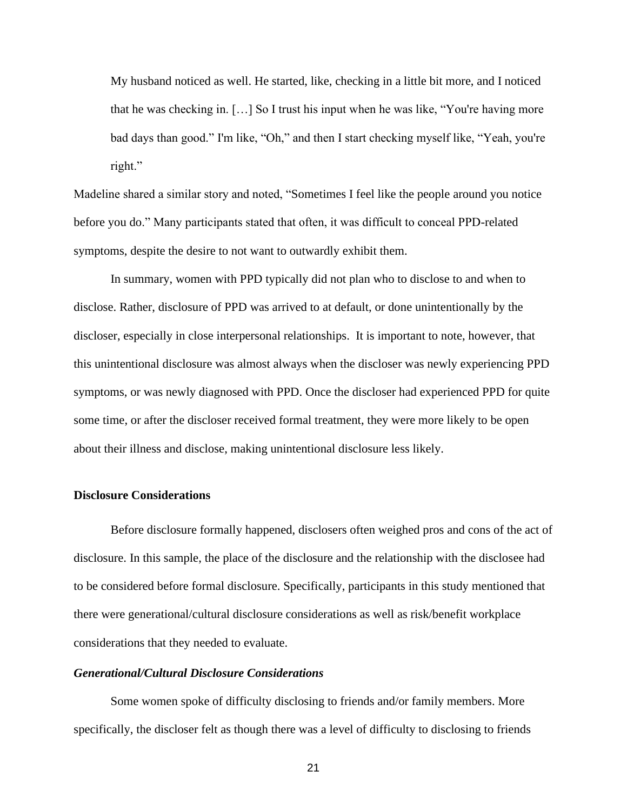My husband noticed as well. He started, like, checking in a little bit more, and I noticed that he was checking in. […] So I trust his input when he was like, "You're having more bad days than good." I'm like, "Oh," and then I start checking myself like, "Yeah, you're right."

Madeline shared a similar story and noted, "Sometimes I feel like the people around you notice before you do." Many participants stated that often, it was difficult to conceal PPD-related symptoms, despite the desire to not want to outwardly exhibit them.

In summary, women with PPD typically did not plan who to disclose to and when to disclose. Rather, disclosure of PPD was arrived to at default, or done unintentionally by the discloser, especially in close interpersonal relationships. It is important to note, however, that this unintentional disclosure was almost always when the discloser was newly experiencing PPD symptoms, or was newly diagnosed with PPD. Once the discloser had experienced PPD for quite some time, or after the discloser received formal treatment, they were more likely to be open about their illness and disclose, making unintentional disclosure less likely.

#### <span id="page-28-0"></span>**Disclosure Considerations**

Before disclosure formally happened, disclosers often weighed pros and cons of the act of disclosure. In this sample, the place of the disclosure and the relationship with the disclosee had to be considered before formal disclosure. Specifically, participants in this study mentioned that there were generational/cultural disclosure considerations as well as risk/benefit workplace considerations that they needed to evaluate.

#### <span id="page-28-1"></span>*Generational/Cultural Disclosure Considerations*

Some women spoke of difficulty disclosing to friends and/or family members. More specifically, the discloser felt as though there was a level of difficulty to disclosing to friends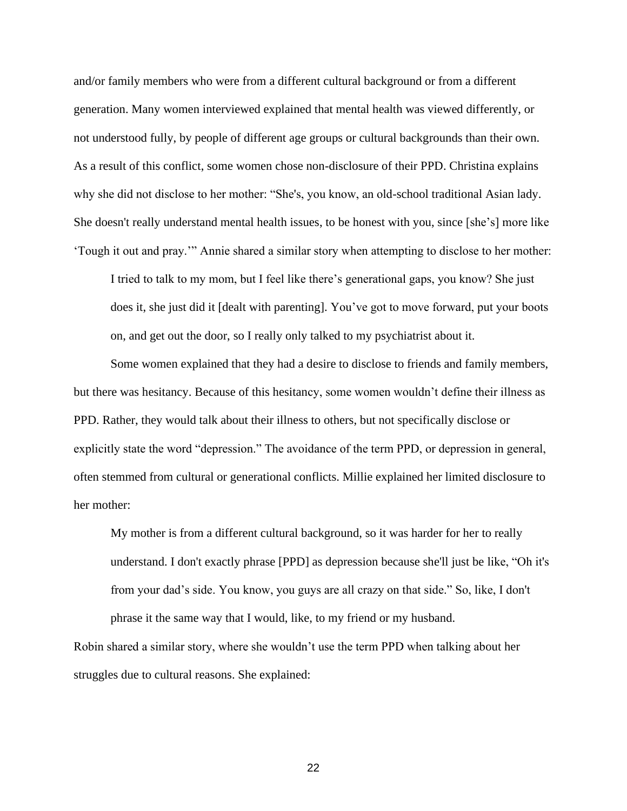and/or family members who were from a different cultural background or from a different generation. Many women interviewed explained that mental health was viewed differently, or not understood fully, by people of different age groups or cultural backgrounds than their own. As a result of this conflict, some women chose non-disclosure of their PPD. Christina explains why she did not disclose to her mother: "She's, you know, an old-school traditional Asian lady. She doesn't really understand mental health issues, to be honest with you, since [she's] more like 'Tough it out and pray.'" Annie shared a similar story when attempting to disclose to her mother:

I tried to talk to my mom, but I feel like there's generational gaps, you know? She just does it, she just did it [dealt with parenting]. You've got to move forward, put your boots on, and get out the door, so I really only talked to my psychiatrist about it.

Some women explained that they had a desire to disclose to friends and family members, but there was hesitancy. Because of this hesitancy, some women wouldn't define their illness as PPD. Rather, they would talk about their illness to others, but not specifically disclose or explicitly state the word "depression." The avoidance of the term PPD, or depression in general, often stemmed from cultural or generational conflicts. Millie explained her limited disclosure to her mother:

My mother is from a different cultural background, so it was harder for her to really understand. I don't exactly phrase [PPD] as depression because she'll just be like, "Oh it's from your dad's side. You know, you guys are all crazy on that side." So, like, I don't phrase it the same way that I would, like, to my friend or my husband.

Robin shared a similar story, where she wouldn't use the term PPD when talking about her struggles due to cultural reasons. She explained: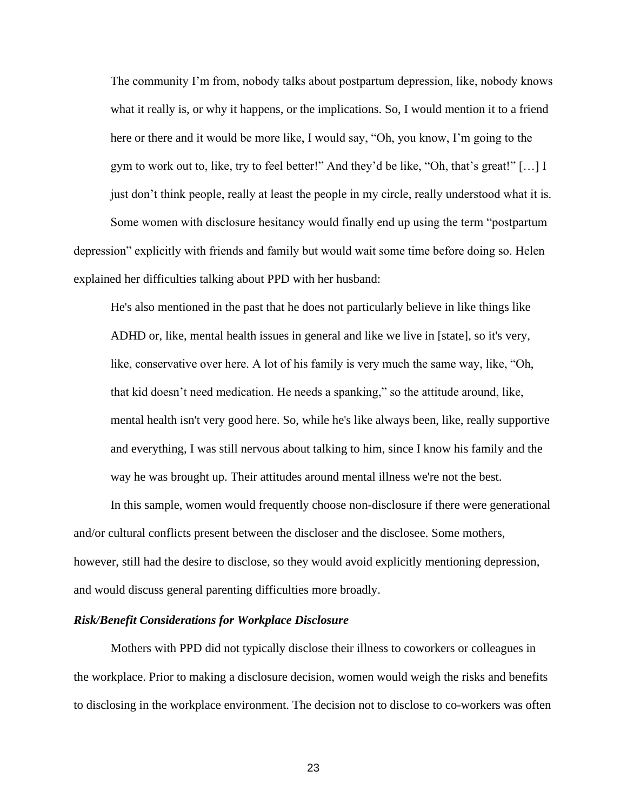The community I'm from, nobody talks about postpartum depression, like, nobody knows what it really is, or why it happens, or the implications. So, I would mention it to a friend here or there and it would be more like, I would say, "Oh, you know, I'm going to the gym to work out to, like, try to feel better!" And they'd be like, "Oh, that's great!" […] I just don't think people, really at least the people in my circle, really understood what it is. Some women with disclosure hesitancy would finally end up using the term "postpartum

depression" explicitly with friends and family but would wait some time before doing so. Helen explained her difficulties talking about PPD with her husband:

He's also mentioned in the past that he does not particularly believe in like things like ADHD or, like, mental health issues in general and like we live in [state], so it's very, like, conservative over here. A lot of his family is very much the same way, like, "Oh, that kid doesn't need medication. He needs a spanking," so the attitude around, like, mental health isn't very good here. So, while he's like always been, like, really supportive and everything, I was still nervous about talking to him, since I know his family and the way he was brought up. Their attitudes around mental illness we're not the best.

In this sample, women would frequently choose non-disclosure if there were generational and/or cultural conflicts present between the discloser and the disclosee. Some mothers, however, still had the desire to disclose, so they would avoid explicitly mentioning depression, and would discuss general parenting difficulties more broadly.

#### <span id="page-30-0"></span>*Risk/Benefit Considerations for Workplace Disclosure*

Mothers with PPD did not typically disclose their illness to coworkers or colleagues in the workplace. Prior to making a disclosure decision, women would weigh the risks and benefits to disclosing in the workplace environment. The decision not to disclose to co-workers was often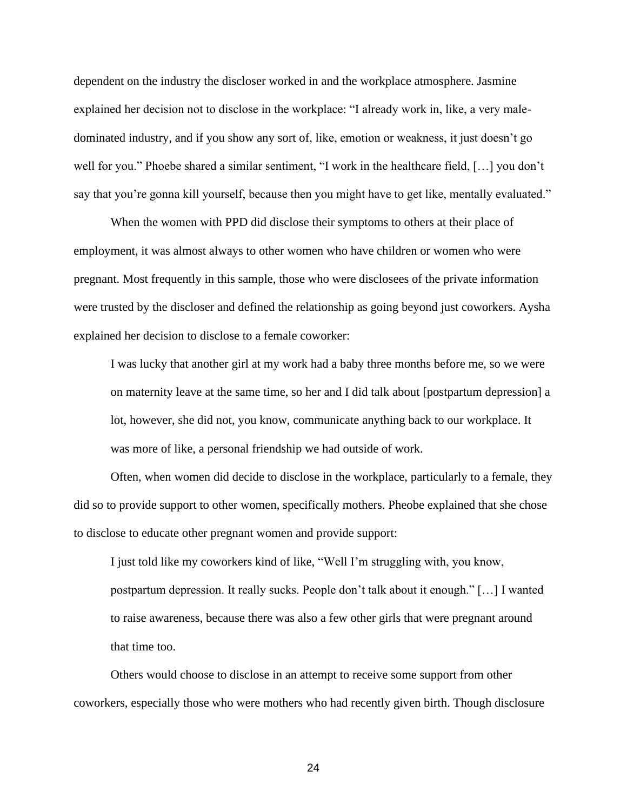dependent on the industry the discloser worked in and the workplace atmosphere. Jasmine explained her decision not to disclose in the workplace: "I already work in, like, a very maledominated industry, and if you show any sort of, like, emotion or weakness, it just doesn't go well for you." Phoebe shared a similar sentiment, "I work in the healthcare field, […] you don't say that you're gonna kill yourself, because then you might have to get like, mentally evaluated."

When the women with PPD did disclose their symptoms to others at their place of employment, it was almost always to other women who have children or women who were pregnant. Most frequently in this sample, those who were disclosees of the private information were trusted by the discloser and defined the relationship as going beyond just coworkers. Aysha explained her decision to disclose to a female coworker:

I was lucky that another girl at my work had a baby three months before me, so we were on maternity leave at the same time, so her and I did talk about [postpartum depression] a lot, however, she did not, you know, communicate anything back to our workplace. It was more of like, a personal friendship we had outside of work.

Often, when women did decide to disclose in the workplace, particularly to a female, they did so to provide support to other women, specifically mothers. Pheobe explained that she chose to disclose to educate other pregnant women and provide support:

I just told like my coworkers kind of like, "Well I'm struggling with, you know, postpartum depression. It really sucks. People don't talk about it enough." […] I wanted to raise awareness, because there was also a few other girls that were pregnant around that time too.

Others would choose to disclose in an attempt to receive some support from other coworkers, especially those who were mothers who had recently given birth. Though disclosure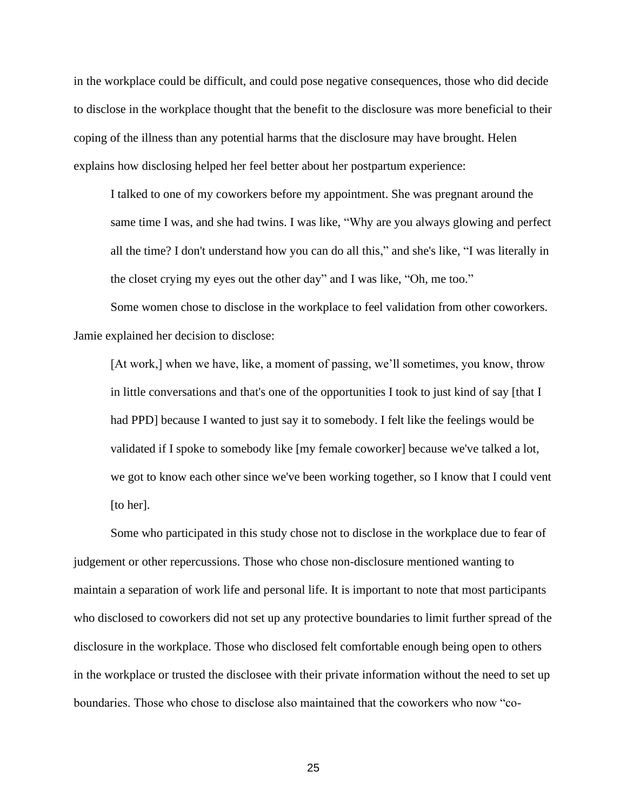in the workplace could be difficult, and could pose negative consequences, those who did decide to disclose in the workplace thought that the benefit to the disclosure was more beneficial to their coping of the illness than any potential harms that the disclosure may have brought. Helen explains how disclosing helped her feel better about her postpartum experience:

I talked to one of my coworkers before my appointment. She was pregnant around the same time I was, and she had twins. I was like, "Why are you always glowing and perfect all the time? I don't understand how you can do all this," and she's like, "I was literally in the closet crying my eyes out the other day" and I was like, "Oh, me too."

Some women chose to disclose in the workplace to feel validation from other coworkers. Jamie explained her decision to disclose:

[At work,] when we have, like, a moment of passing, we'll sometimes, you know, throw in little conversations and that's one of the opportunities I took to just kind of say [that I had PPD] because I wanted to just say it to somebody. I felt like the feelings would be validated if I spoke to somebody like [my female coworker] because we've talked a lot, we got to know each other since we've been working together, so I know that I could vent [to her].

Some who participated in this study chose not to disclose in the workplace due to fear of judgement or other repercussions. Those who chose non-disclosure mentioned wanting to maintain a separation of work life and personal life. It is important to note that most participants who disclosed to coworkers did not set up any protective boundaries to limit further spread of the disclosure in the workplace. Those who disclosed felt comfortable enough being open to others in the workplace or trusted the disclosee with their private information without the need to set up boundaries. Those who chose to disclose also maintained that the coworkers who now "co-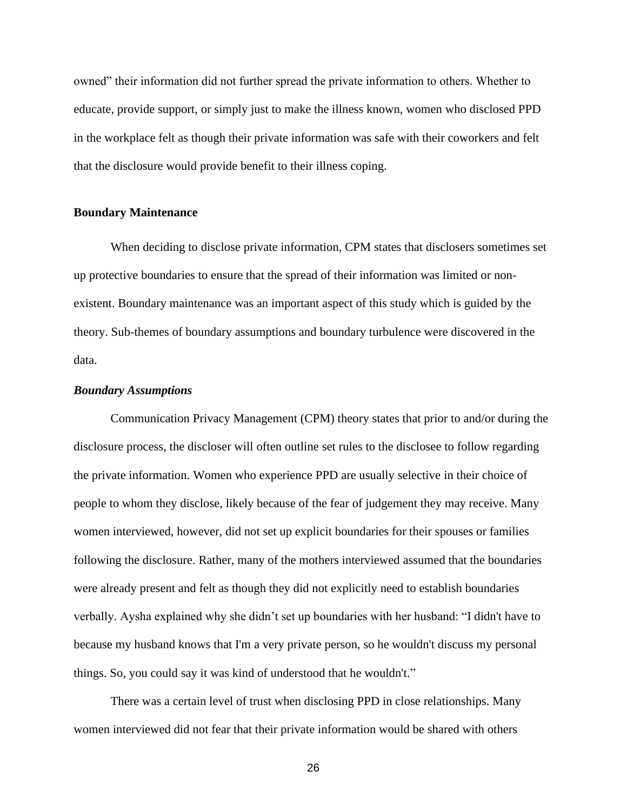owned" their information did not further spread the private information to others. Whether to educate, provide support, or simply just to make the illness known, women who disclosed PPD in the workplace felt as though their private information was safe with their coworkers and felt that the disclosure would provide benefit to their illness coping.

#### <span id="page-33-0"></span>**Boundary Maintenance**

When deciding to disclose private information, CPM states that disclosers sometimes set up protective boundaries to ensure that the spread of their information was limited or nonexistent. Boundary maintenance was an important aspect of this study which is guided by the theory. Sub-themes of boundary assumptions and boundary turbulence were discovered in the data.

#### <span id="page-33-1"></span>*Boundary Assumptions*

Communication Privacy Management (CPM) theory states that prior to and/or during the disclosure process, the discloser will often outline set rules to the disclosee to follow regarding the private information. Women who experience PPD are usually selective in their choice of people to whom they disclose, likely because of the fear of judgement they may receive. Many women interviewed, however, did not set up explicit boundaries for their spouses or families following the disclosure. Rather, many of the mothers interviewed assumed that the boundaries were already present and felt as though they did not explicitly need to establish boundaries verbally. Aysha explained why she didn't set up boundaries with her husband: "I didn't have to because my husband knows that I'm a very private person, so he wouldn't discuss my personal things. So, you could say it was kind of understood that he wouldn't."

There was a certain level of trust when disclosing PPD in close relationships. Many women interviewed did not fear that their private information would be shared with others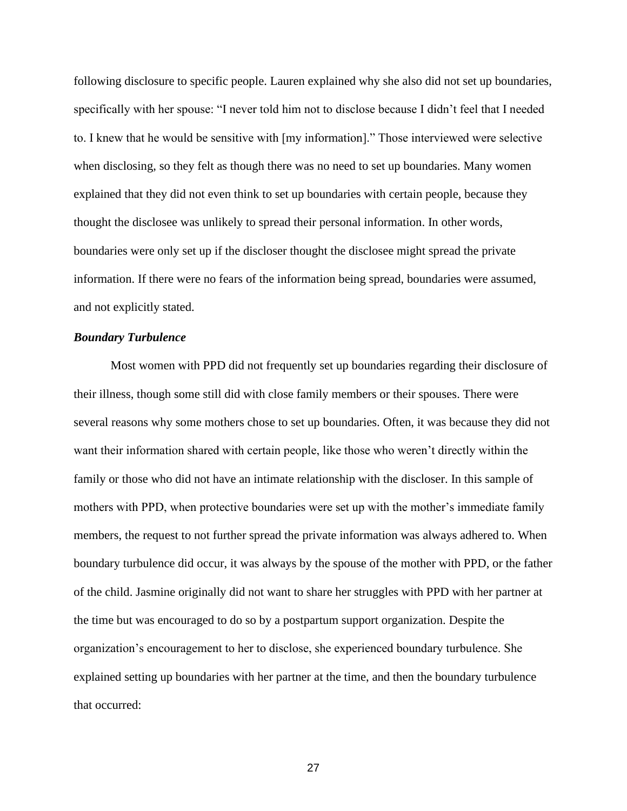following disclosure to specific people. Lauren explained why she also did not set up boundaries, specifically with her spouse: "I never told him not to disclose because I didn't feel that I needed to. I knew that he would be sensitive with [my information]." Those interviewed were selective when disclosing, so they felt as though there was no need to set up boundaries. Many women explained that they did not even think to set up boundaries with certain people, because they thought the disclosee was unlikely to spread their personal information. In other words, boundaries were only set up if the discloser thought the disclosee might spread the private information. If there were no fears of the information being spread, boundaries were assumed, and not explicitly stated.

#### <span id="page-34-0"></span>*Boundary Turbulence*

Most women with PPD did not frequently set up boundaries regarding their disclosure of their illness, though some still did with close family members or their spouses. There were several reasons why some mothers chose to set up boundaries. Often, it was because they did not want their information shared with certain people, like those who weren't directly within the family or those who did not have an intimate relationship with the discloser. In this sample of mothers with PPD, when protective boundaries were set up with the mother's immediate family members, the request to not further spread the private information was always adhered to. When boundary turbulence did occur, it was always by the spouse of the mother with PPD, or the father of the child. Jasmine originally did not want to share her struggles with PPD with her partner at the time but was encouraged to do so by a postpartum support organization. Despite the organization's encouragement to her to disclose, she experienced boundary turbulence. She explained setting up boundaries with her partner at the time, and then the boundary turbulence that occurred: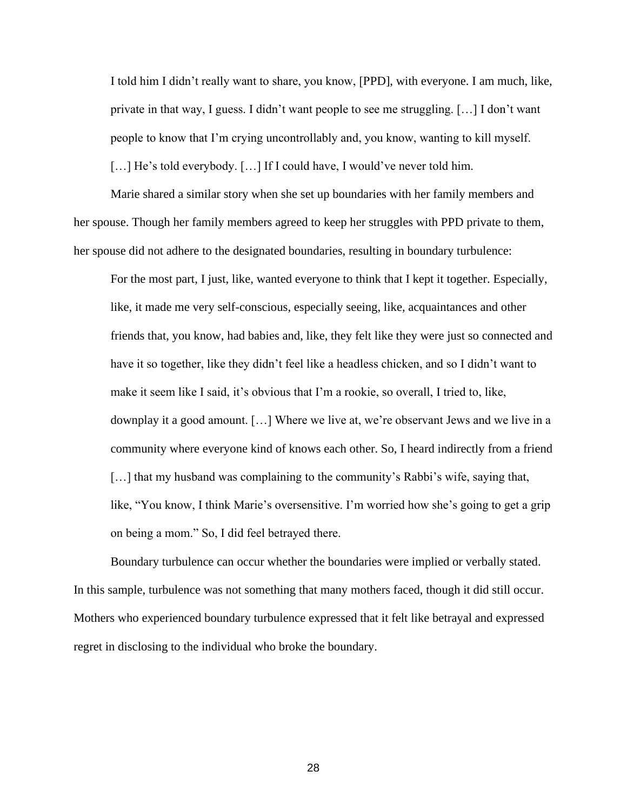I told him I didn't really want to share, you know, [PPD], with everyone. I am much, like, private in that way, I guess. I didn't want people to see me struggling. […] I don't want people to know that I'm crying uncontrollably and, you know, wanting to kill myself. [...] He's told everybody. [...] If I could have, I would've never told him.

Marie shared a similar story when she set up boundaries with her family members and her spouse. Though her family members agreed to keep her struggles with PPD private to them, her spouse did not adhere to the designated boundaries, resulting in boundary turbulence:

For the most part, I just, like, wanted everyone to think that I kept it together. Especially, like, it made me very self-conscious, especially seeing, like, acquaintances and other friends that, you know, had babies and, like, they felt like they were just so connected and have it so together, like they didn't feel like a headless chicken, and so I didn't want to make it seem like I said, it's obvious that I'm a rookie, so overall, I tried to, like, downplay it a good amount. […] Where we live at, we're observant Jews and we live in a community where everyone kind of knows each other. So, I heard indirectly from a friend [...] that my husband was complaining to the community's Rabbi's wife, saying that, like, "You know, I think Marie's oversensitive. I'm worried how she's going to get a grip on being a mom." So, I did feel betrayed there.

Boundary turbulence can occur whether the boundaries were implied or verbally stated. In this sample, turbulence was not something that many mothers faced, though it did still occur. Mothers who experienced boundary turbulence expressed that it felt like betrayal and expressed regret in disclosing to the individual who broke the boundary.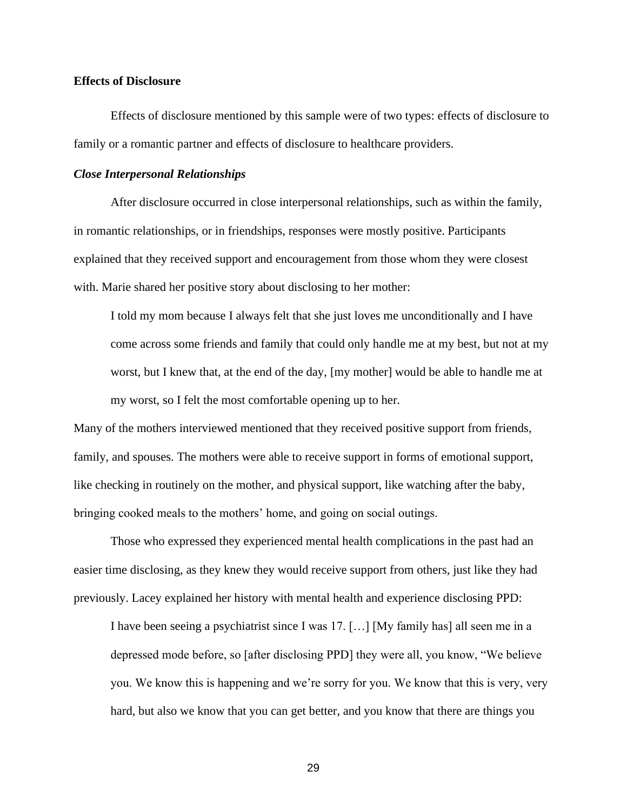### **Effects of Disclosure**

Effects of disclosure mentioned by this sample were of two types: effects of disclosure to family or a romantic partner and effects of disclosure to healthcare providers.

## *Close Interpersonal Relationships*

After disclosure occurred in close interpersonal relationships, such as within the family, in romantic relationships, or in friendships, responses were mostly positive. Participants explained that they received support and encouragement from those whom they were closest with. Marie shared her positive story about disclosing to her mother:

I told my mom because I always felt that she just loves me unconditionally and I have come across some friends and family that could only handle me at my best, but not at my worst, but I knew that, at the end of the day, [my mother] would be able to handle me at my worst, so I felt the most comfortable opening up to her.

Many of the mothers interviewed mentioned that they received positive support from friends, family, and spouses. The mothers were able to receive support in forms of emotional support, like checking in routinely on the mother, and physical support, like watching after the baby, bringing cooked meals to the mothers' home, and going on social outings.

Those who expressed they experienced mental health complications in the past had an easier time disclosing, as they knew they would receive support from others, just like they had previously. Lacey explained her history with mental health and experience disclosing PPD:

I have been seeing a psychiatrist since I was 17. […] [My family has] all seen me in a depressed mode before, so [after disclosing PPD] they were all, you know, "We believe you. We know this is happening and we're sorry for you. We know that this is very, very hard, but also we know that you can get better, and you know that there are things you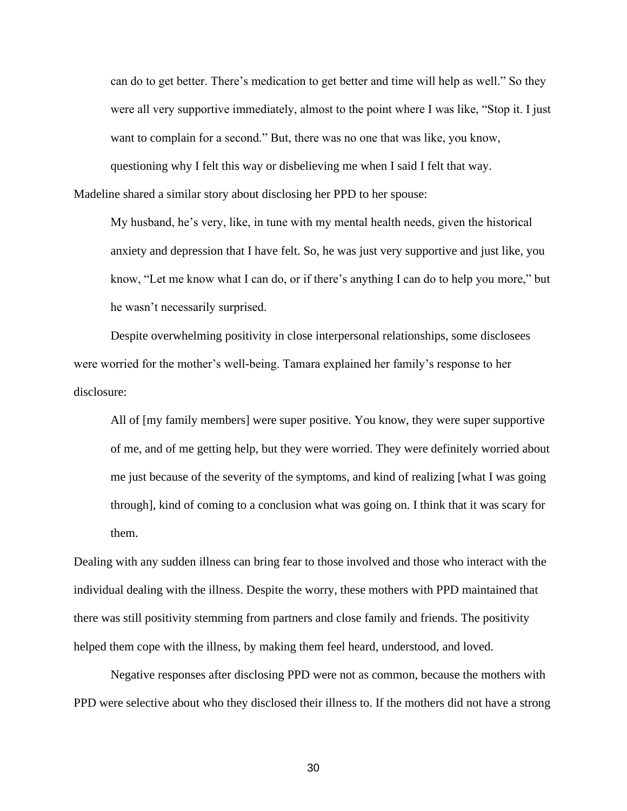can do to get better. There's medication to get better and time will help as well." So they were all very supportive immediately, almost to the point where I was like, "Stop it. I just want to complain for a second." But, there was no one that was like, you know, questioning why I felt this way or disbelieving me when I said I felt that way.

Madeline shared a similar story about disclosing her PPD to her spouse:

My husband, he's very, like, in tune with my mental health needs, given the historical anxiety and depression that I have felt. So, he was just very supportive and just like, you know, "Let me know what I can do, or if there's anything I can do to help you more," but he wasn't necessarily surprised.

Despite overwhelming positivity in close interpersonal relationships, some disclosees were worried for the mother's well-being. Tamara explained her family's response to her disclosure:

All of [my family members] were super positive. You know, they were super supportive of me, and of me getting help, but they were worried. They were definitely worried about me just because of the severity of the symptoms, and kind of realizing [what I was going through], kind of coming to a conclusion what was going on. I think that it was scary for them.

Dealing with any sudden illness can bring fear to those involved and those who interact with the individual dealing with the illness. Despite the worry, these mothers with PPD maintained that there was still positivity stemming from partners and close family and friends. The positivity helped them cope with the illness, by making them feel heard, understood, and loved.

Negative responses after disclosing PPD were not as common, because the mothers with PPD were selective about who they disclosed their illness to. If the mothers did not have a strong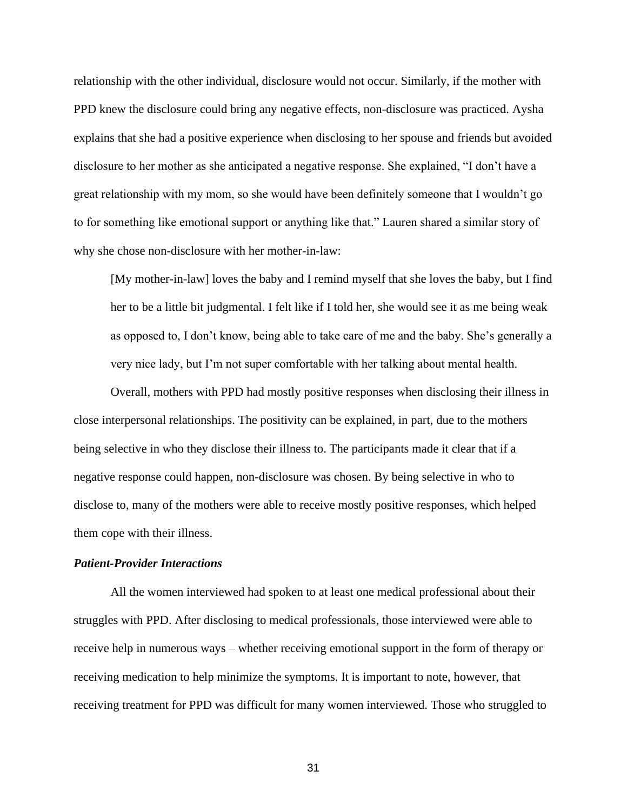relationship with the other individual, disclosure would not occur. Similarly, if the mother with PPD knew the disclosure could bring any negative effects, non-disclosure was practiced. Aysha explains that she had a positive experience when disclosing to her spouse and friends but avoided disclosure to her mother as she anticipated a negative response. She explained, "I don't have a great relationship with my mom, so she would have been definitely someone that I wouldn't go to for something like emotional support or anything like that." Lauren shared a similar story of why she chose non-disclosure with her mother-in-law:

[My mother-in-law] loves the baby and I remind myself that she loves the baby, but I find her to be a little bit judgmental. I felt like if I told her, she would see it as me being weak as opposed to, I don't know, being able to take care of me and the baby. She's generally a very nice lady, but I'm not super comfortable with her talking about mental health.

Overall, mothers with PPD had mostly positive responses when disclosing their illness in close interpersonal relationships. The positivity can be explained, in part, due to the mothers being selective in who they disclose their illness to. The participants made it clear that if a negative response could happen, non-disclosure was chosen. By being selective in who to disclose to, many of the mothers were able to receive mostly positive responses, which helped them cope with their illness.

## *Patient-Provider Interactions*

All the women interviewed had spoken to at least one medical professional about their struggles with PPD. After disclosing to medical professionals, those interviewed were able to receive help in numerous ways – whether receiving emotional support in the form of therapy or receiving medication to help minimize the symptoms. It is important to note, however, that receiving treatment for PPD was difficult for many women interviewed. Those who struggled to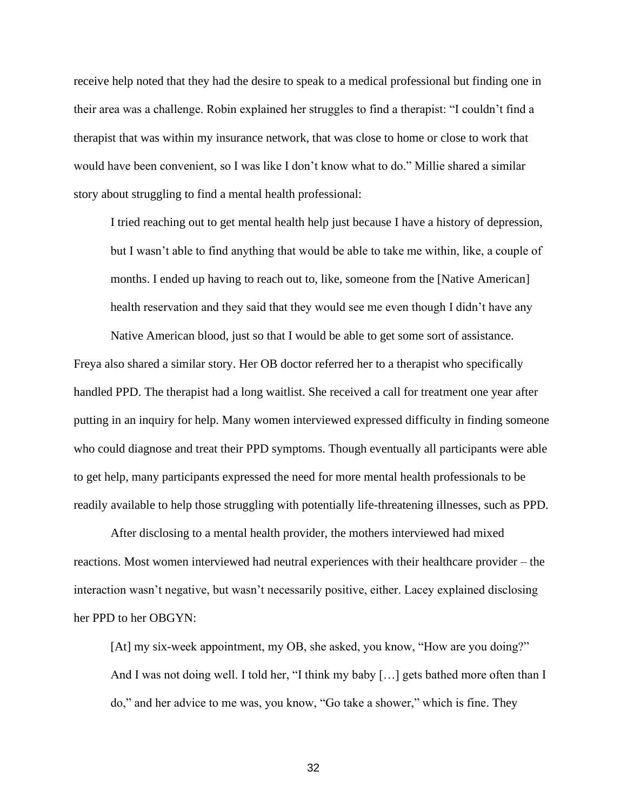receive help noted that they had the desire to speak to a medical professional but finding one in their area was a challenge. Robin explained her struggles to find a therapist: "I couldn't find a therapist that was within my insurance network, that was close to home or close to work that would have been convenient, so I was like I don't know what to do." Millie shared a similar story about struggling to find a mental health professional:

I tried reaching out to get mental health help just because I have a history of depression, but I wasn't able to find anything that would be able to take me within, like, a couple of months. I ended up having to reach out to, like, someone from the [Native American] health reservation and they said that they would see me even though I didn't have any

Freya also shared a similar story. Her OB doctor referred her to a therapist who specifically handled PPD. The therapist had a long waitlist. She received a call for treatment one year after putting in an inquiry for help. Many women interviewed expressed difficulty in finding someone who could diagnose and treat their PPD symptoms. Though eventually all participants were able to get help, many participants expressed the need for more mental health professionals to be readily available to help those struggling with potentially life-threatening illnesses, such as PPD.

Native American blood, just so that I would be able to get some sort of assistance.

After disclosing to a mental health provider, the mothers interviewed had mixed reactions. Most women interviewed had neutral experiences with their healthcare provider – the interaction wasn't negative, but wasn't necessarily positive, either. Lacey explained disclosing her PPD to her OBGYN:

[At] my six-week appointment, my OB, she asked, you know, "How are you doing?" And I was not doing well. I told her, "I think my baby [...] gets bathed more often than I do," and her advice to me was, you know, "Go take a shower," which is fine. They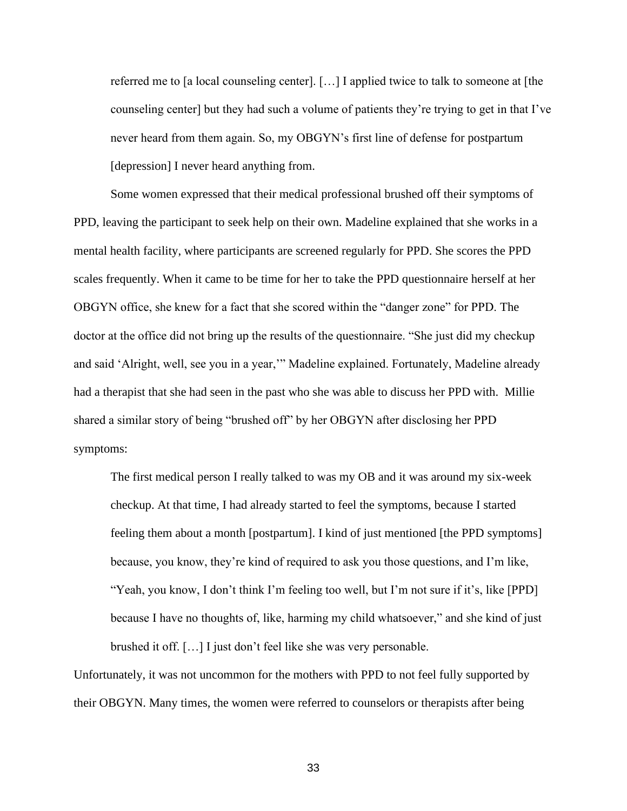referred me to [a local counseling center]. […] I applied twice to talk to someone at [the counseling center] but they had such a volume of patients they're trying to get in that I've never heard from them again. So, my OBGYN's first line of defense for postpartum [depression] I never heard anything from.

Some women expressed that their medical professional brushed off their symptoms of PPD, leaving the participant to seek help on their own. Madeline explained that she works in a mental health facility, where participants are screened regularly for PPD. She scores the PPD scales frequently. When it came to be time for her to take the PPD questionnaire herself at her OBGYN office, she knew for a fact that she scored within the "danger zone" for PPD. The doctor at the office did not bring up the results of the questionnaire. "She just did my checkup and said 'Alright, well, see you in a year,'" Madeline explained. Fortunately, Madeline already had a therapist that she had seen in the past who she was able to discuss her PPD with. Millie shared a similar story of being "brushed off" by her OBGYN after disclosing her PPD symptoms:

The first medical person I really talked to was my OB and it was around my six-week checkup. At that time, I had already started to feel the symptoms, because I started feeling them about a month [postpartum]. I kind of just mentioned [the PPD symptoms] because, you know, they're kind of required to ask you those questions, and I'm like, "Yeah, you know, I don't think I'm feeling too well, but I'm not sure if it's, like [PPD] because I have no thoughts of, like, harming my child whatsoever," and she kind of just brushed it off. […] I just don't feel like she was very personable.

Unfortunately, it was not uncommon for the mothers with PPD to not feel fully supported by their OBGYN. Many times, the women were referred to counselors or therapists after being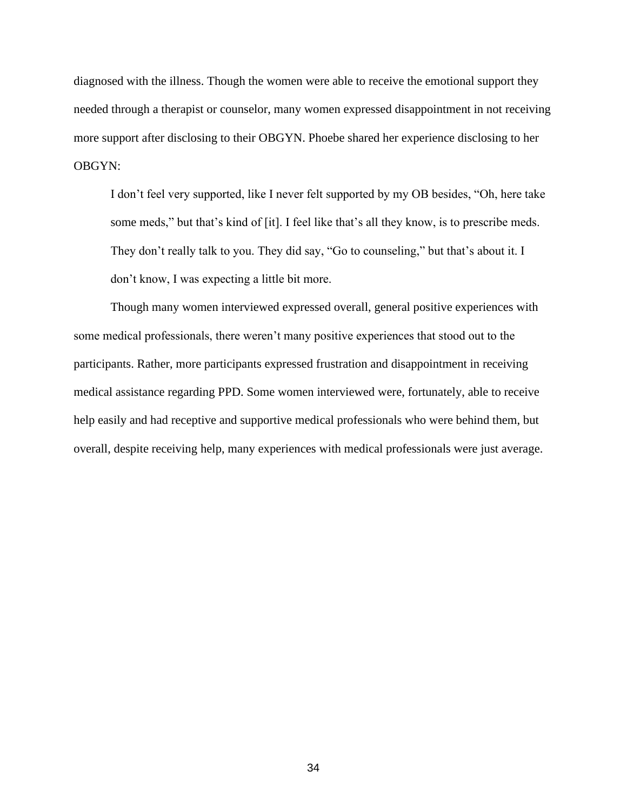diagnosed with the illness. Though the women were able to receive the emotional support they needed through a therapist or counselor, many women expressed disappointment in not receiving more support after disclosing to their OBGYN. Phoebe shared her experience disclosing to her OBGYN:

I don't feel very supported, like I never felt supported by my OB besides, "Oh, here take some meds," but that's kind of [it]. I feel like that's all they know, is to prescribe meds. They don't really talk to you. They did say, "Go to counseling," but that's about it. I don't know, I was expecting a little bit more.

Though many women interviewed expressed overall, general positive experiences with some medical professionals, there weren't many positive experiences that stood out to the participants. Rather, more participants expressed frustration and disappointment in receiving medical assistance regarding PPD. Some women interviewed were, fortunately, able to receive help easily and had receptive and supportive medical professionals who were behind them, but overall, despite receiving help, many experiences with medical professionals were just average.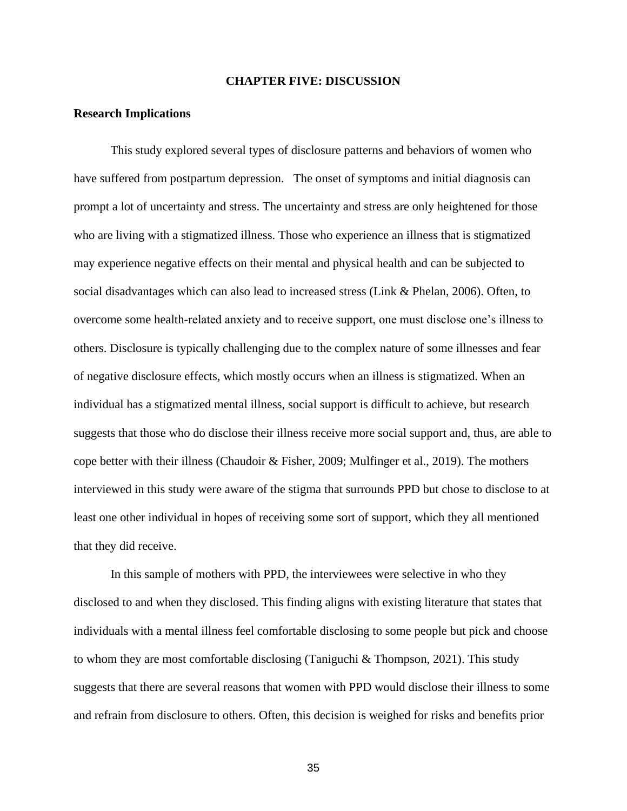## **CHAPTER FIVE: DISCUSSION**

### **Research Implications**

This study explored several types of disclosure patterns and behaviors of women who have suffered from postpartum depression. The onset of symptoms and initial diagnosis can prompt a lot of uncertainty and stress. The uncertainty and stress are only heightened for those who are living with a stigmatized illness. Those who experience an illness that is stigmatized may experience negative effects on their mental and physical health and can be subjected to social disadvantages which can also lead to increased stress (Link & Phelan, 2006). Often, to overcome some health-related anxiety and to receive support, one must disclose one's illness to others. Disclosure is typically challenging due to the complex nature of some illnesses and fear of negative disclosure effects, which mostly occurs when an illness is stigmatized. When an individual has a stigmatized mental illness, social support is difficult to achieve, but research suggests that those who do disclose their illness receive more social support and, thus, are able to cope better with their illness (Chaudoir & Fisher, 2009; Mulfinger et al., 2019). The mothers interviewed in this study were aware of the stigma that surrounds PPD but chose to disclose to at least one other individual in hopes of receiving some sort of support, which they all mentioned that they did receive.

In this sample of mothers with PPD, the interviewees were selective in who they disclosed to and when they disclosed. This finding aligns with existing literature that states that individuals with a mental illness feel comfortable disclosing to some people but pick and choose to whom they are most comfortable disclosing (Taniguchi & Thompson, 2021). This study suggests that there are several reasons that women with PPD would disclose their illness to some and refrain from disclosure to others. Often, this decision is weighed for risks and benefits prior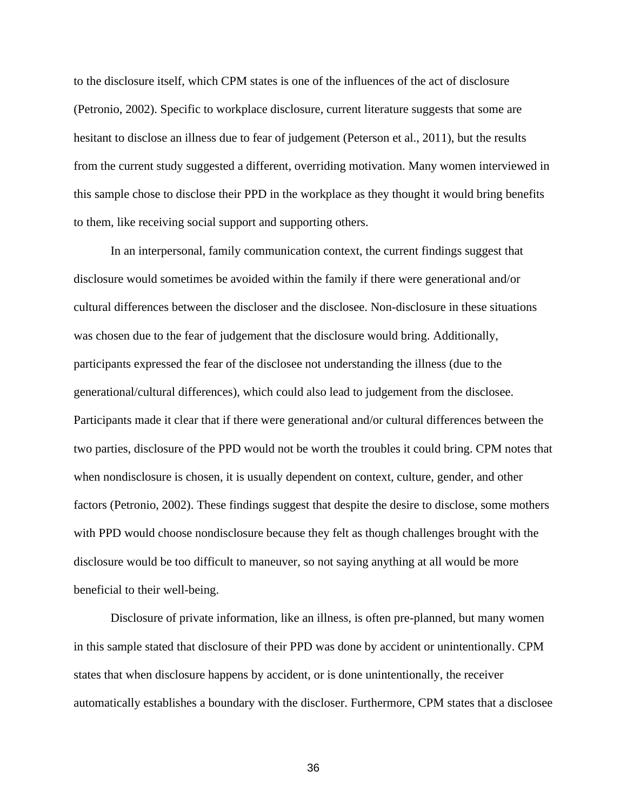to the disclosure itself, which CPM states is one of the influences of the act of disclosure (Petronio, 2002). Specific to workplace disclosure, current literature suggests that some are hesitant to disclose an illness due to fear of judgement (Peterson et al., 2011), but the results from the current study suggested a different, overriding motivation. Many women interviewed in this sample chose to disclose their PPD in the workplace as they thought it would bring benefits to them, like receiving social support and supporting others.

In an interpersonal, family communication context, the current findings suggest that disclosure would sometimes be avoided within the family if there were generational and/or cultural differences between the discloser and the disclosee. Non-disclosure in these situations was chosen due to the fear of judgement that the disclosure would bring. Additionally, participants expressed the fear of the disclosee not understanding the illness (due to the generational/cultural differences), which could also lead to judgement from the disclosee. Participants made it clear that if there were generational and/or cultural differences between the two parties, disclosure of the PPD would not be worth the troubles it could bring. CPM notes that when nondisclosure is chosen, it is usually dependent on context, culture, gender, and other factors (Petronio, 2002). These findings suggest that despite the desire to disclose, some mothers with PPD would choose nondisclosure because they felt as though challenges brought with the disclosure would be too difficult to maneuver, so not saying anything at all would be more beneficial to their well-being.

Disclosure of private information, like an illness, is often pre-planned, but many women in this sample stated that disclosure of their PPD was done by accident or unintentionally. CPM states that when disclosure happens by accident, or is done unintentionally, the receiver automatically establishes a boundary with the discloser. Furthermore, CPM states that a disclosee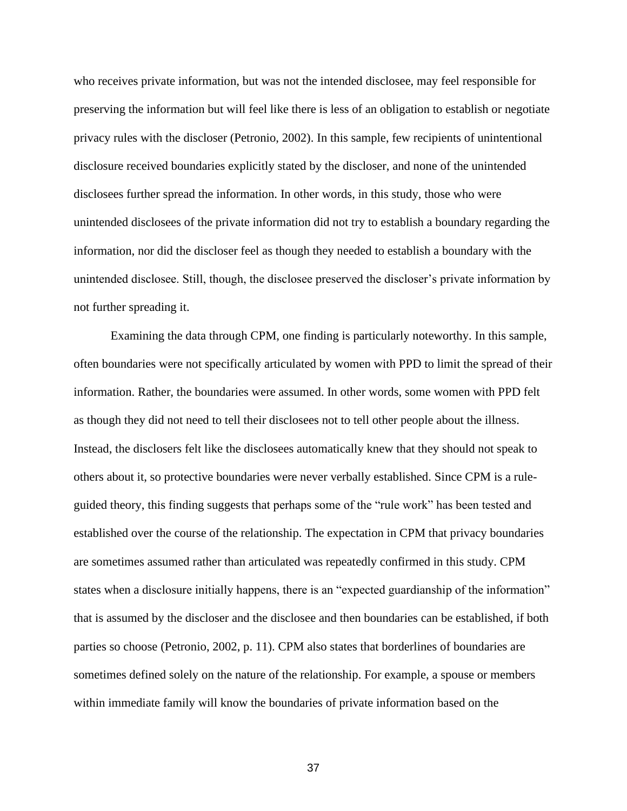who receives private information, but was not the intended disclosee, may feel responsible for preserving the information but will feel like there is less of an obligation to establish or negotiate privacy rules with the discloser (Petronio, 2002). In this sample, few recipients of unintentional disclosure received boundaries explicitly stated by the discloser, and none of the unintended disclosees further spread the information. In other words, in this study, those who were unintended disclosees of the private information did not try to establish a boundary regarding the information, nor did the discloser feel as though they needed to establish a boundary with the unintended disclosee. Still, though, the disclosee preserved the discloser's private information by not further spreading it.

Examining the data through CPM, one finding is particularly noteworthy. In this sample, often boundaries were not specifically articulated by women with PPD to limit the spread of their information. Rather, the boundaries were assumed. In other words, some women with PPD felt as though they did not need to tell their disclosees not to tell other people about the illness. Instead, the disclosers felt like the disclosees automatically knew that they should not speak to others about it, so protective boundaries were never verbally established. Since CPM is a ruleguided theory, this finding suggests that perhaps some of the "rule work" has been tested and established over the course of the relationship. The expectation in CPM that privacy boundaries are sometimes assumed rather than articulated was repeatedly confirmed in this study. CPM states when a disclosure initially happens, there is an "expected guardianship of the information" that is assumed by the discloser and the disclosee and then boundaries can be established, if both parties so choose (Petronio, 2002, p. 11). CPM also states that borderlines of boundaries are sometimes defined solely on the nature of the relationship. For example, a spouse or members within immediate family will know the boundaries of private information based on the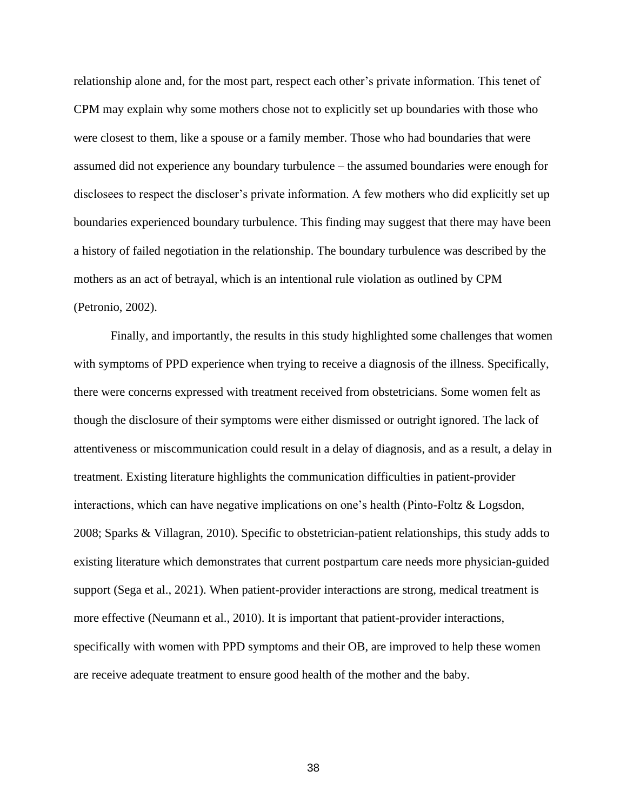relationship alone and, for the most part, respect each other's private information. This tenet of CPM may explain why some mothers chose not to explicitly set up boundaries with those who were closest to them, like a spouse or a family member. Those who had boundaries that were assumed did not experience any boundary turbulence – the assumed boundaries were enough for disclosees to respect the discloser's private information. A few mothers who did explicitly set up boundaries experienced boundary turbulence. This finding may suggest that there may have been a history of failed negotiation in the relationship. The boundary turbulence was described by the mothers as an act of betrayal, which is an intentional rule violation as outlined by CPM (Petronio, 2002).

Finally, and importantly, the results in this study highlighted some challenges that women with symptoms of PPD experience when trying to receive a diagnosis of the illness. Specifically, there were concerns expressed with treatment received from obstetricians. Some women felt as though the disclosure of their symptoms were either dismissed or outright ignored. The lack of attentiveness or miscommunication could result in a delay of diagnosis, and as a result, a delay in treatment. Existing literature highlights the communication difficulties in patient-provider interactions, which can have negative implications on one's health (Pinto-Foltz & Logsdon, 2008; Sparks & Villagran, 2010). Specific to obstetrician-patient relationships, this study adds to existing literature which demonstrates that current postpartum care needs more physician-guided support (Sega et al., 2021). When patient-provider interactions are strong, medical treatment is more effective (Neumann et al., 2010). It is important that patient-provider interactions, specifically with women with PPD symptoms and their OB, are improved to help these women are receive adequate treatment to ensure good health of the mother and the baby.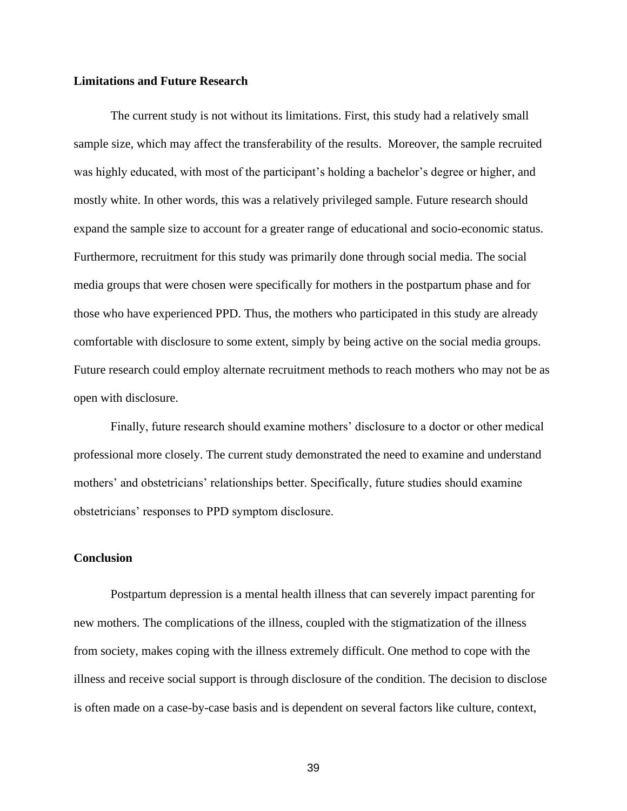## **Limitations and Future Research**

The current study is not without its limitations. First, this study had a relatively small sample size, which may affect the transferability of the results. Moreover, the sample recruited was highly educated, with most of the participant's holding a bachelor's degree or higher, and mostly white. In other words, this was a relatively privileged sample. Future research should expand the sample size to account for a greater range of educational and socio-economic status. Furthermore, recruitment for this study was primarily done through social media. The social media groups that were chosen were specifically for mothers in the postpartum phase and for those who have experienced PPD. Thus, the mothers who participated in this study are already comfortable with disclosure to some extent, simply by being active on the social media groups. Future research could employ alternate recruitment methods to reach mothers who may not be as open with disclosure.

Finally, future research should examine mothers' disclosure to a doctor or other medical professional more closely. The current study demonstrated the need to examine and understand mothers' and obstetricians' relationships better. Specifically, future studies should examine obstetricians' responses to PPD symptom disclosure.

## **Conclusion**

Postpartum depression is a mental health illness that can severely impact parenting for new mothers. The complications of the illness, coupled with the stigmatization of the illness from society, makes coping with the illness extremely difficult. One method to cope with the illness and receive social support is through disclosure of the condition. The decision to disclose is often made on a case-by-case basis and is dependent on several factors like culture, context,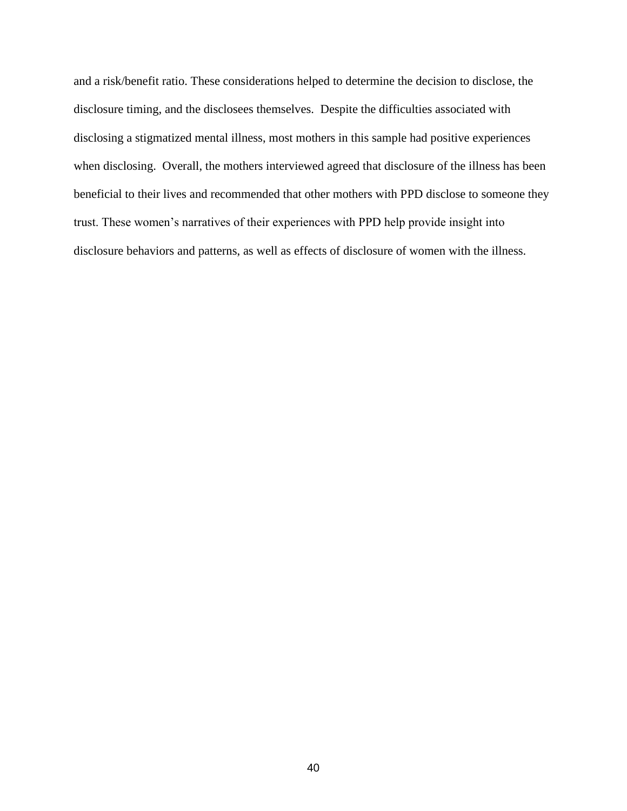and a risk/benefit ratio. These considerations helped to determine the decision to disclose, the disclosure timing, and the disclosees themselves. Despite the difficulties associated with disclosing a stigmatized mental illness, most mothers in this sample had positive experiences when disclosing. Overall, the mothers interviewed agreed that disclosure of the illness has been beneficial to their lives and recommended that other mothers with PPD disclose to someone they trust. These women's narratives of their experiences with PPD help provide insight into disclosure behaviors and patterns, as well as effects of disclosure of women with the illness.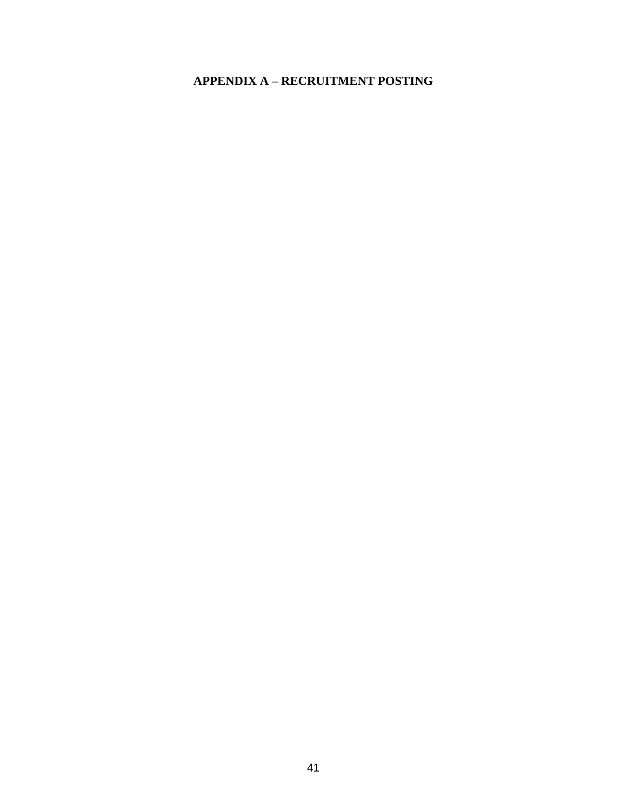## **APPENDIX A – RECRUITMENT POSTING**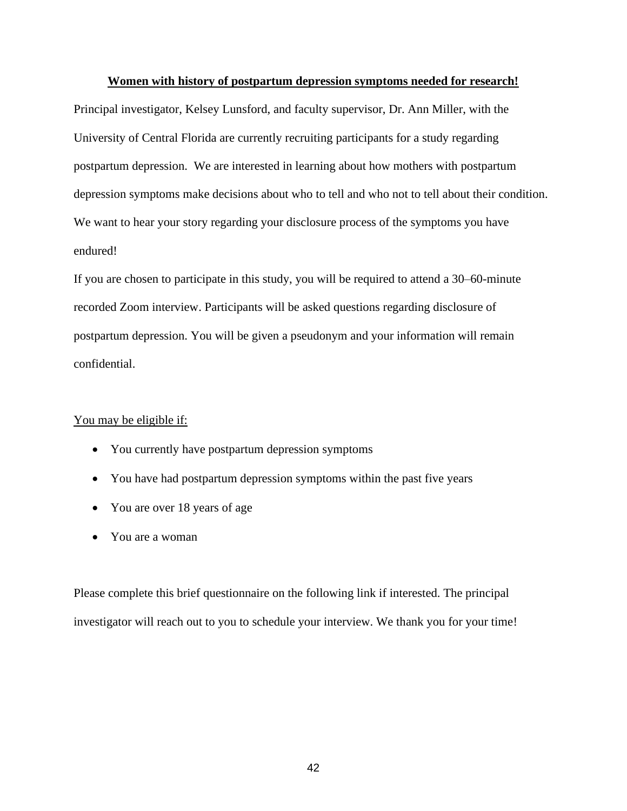#### **Women with history of postpartum depression symptoms needed for research!**

Principal investigator, Kelsey Lunsford, and faculty supervisor, Dr. Ann Miller, with the University of Central Florida are currently recruiting participants for a study regarding postpartum depression. We are interested in learning about how mothers with postpartum depression symptoms make decisions about who to tell and who not to tell about their condition. We want to hear your story regarding your disclosure process of the symptoms you have endured!

If you are chosen to participate in this study, you will be required to attend a 30–60-minute recorded Zoom interview. Participants will be asked questions regarding disclosure of postpartum depression. You will be given a pseudonym and your information will remain confidential.

### You may be eligible if:

- You currently have postpartum depression symptoms
- You have had postpartum depression symptoms within the past five years
- You are over 18 years of age
- You are a woman

Please complete this brief questionnaire on the following link if interested. The principal investigator will reach out to you to schedule your interview. We thank you for your time!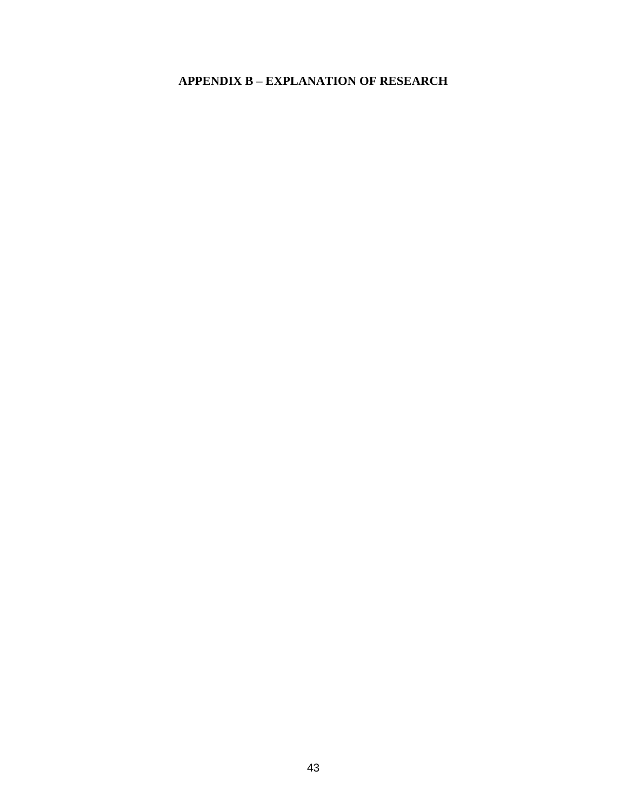## **APPENDIX B - EXPLANATION OF RESEARCH**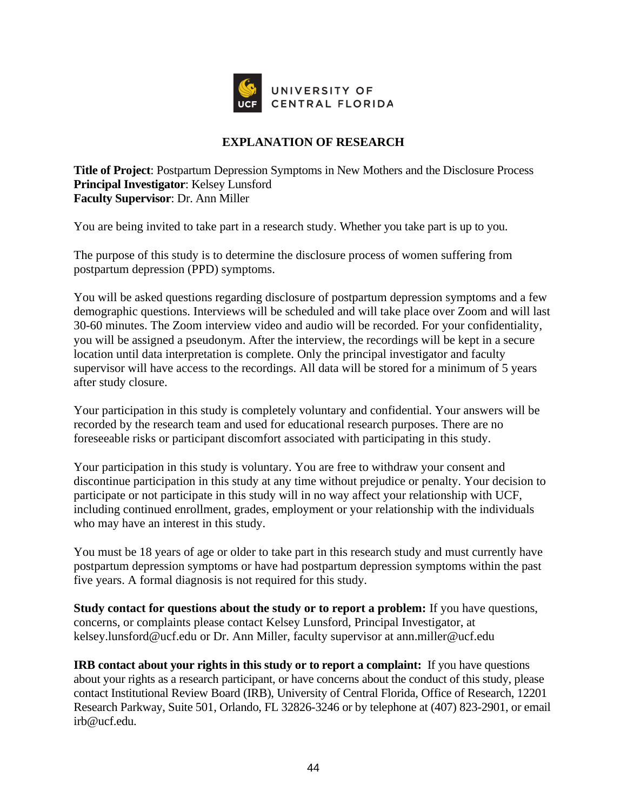

## **EXPLANATION OF RESEARCH**

**Title of Project**: Postpartum Depression Symptoms in New Mothers and the Disclosure Process **Principal Investigator**: Kelsey Lunsford **Faculty Supervisor**: Dr. Ann Miller

You are being invited to take part in a research study. Whether you take part is up to you.

The purpose of this study is to determine the disclosure process of women suffering from postpartum depression (PPD) symptoms.

You will be asked questions regarding disclosure of postpartum depression symptoms and a few demographic questions. Interviews will be scheduled and will take place over Zoom and will last 30-60 minutes. The Zoom interview video and audio will be recorded. For your confidentiality, you will be assigned a pseudonym. After the interview, the recordings will be kept in a secure location until data interpretation is complete. Only the principal investigator and faculty supervisor will have access to the recordings. All data will be stored for a minimum of 5 years after study closure.

Your participation in this study is completely voluntary and confidential. Your answers will be recorded by the research team and used for educational research purposes. There are no foreseeable risks or participant discomfort associated with participating in this study.

Your participation in this study is voluntary. You are free to withdraw your consent and discontinue participation in this study at any time without prejudice or penalty. Your decision to participate or not participate in this study will in no way affect your relationship with UCF, including continued enrollment, grades, employment or your relationship with the individuals who may have an interest in this study.

You must be 18 years of age or older to take part in this research study and must currently have postpartum depression symptoms or have had postpartum depression symptoms within the past five years. A formal diagnosis is not required for this study.

**Study contact for questions about the study or to report a problem:** If you have questions, concerns, or complaints please contact Kelsey Lunsford, Principal Investigator, at kelsey.lunsford@ucf.edu or Dr. Ann Miller, faculty supervisor at ann.miller@ucf.edu

**IRB contact about your rights in this study or to report a complaint:** If you have questions about your rights as a research participant, or have concerns about the conduct of this study, please contact Institutional Review Board (IRB), University of Central Florida, Office of Research, 12201 Research Parkway, Suite 501, Orlando, FL 32826-3246 or by telephone at (407) 823-2901, or email irb@ucf.edu.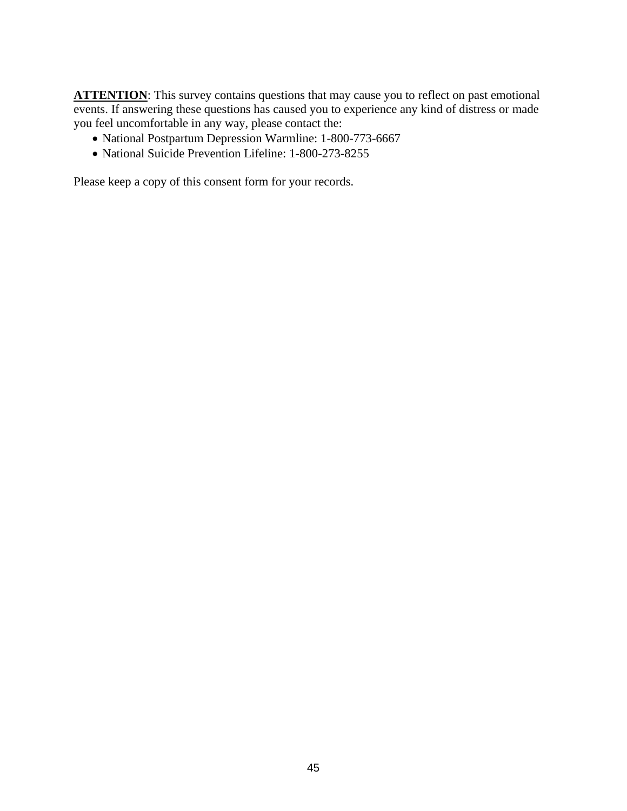**ATTENTION:** This survey contains questions that may cause you to reflect on past emotional events. If answering these questions has caused you to experience any kind of distress or made you feel uncomfortable in any way, please contact the:

- National Postpartum Depression Warmline: 1-800-773-6667
- National Suicide Prevention Lifeline: 1-800-273-8255

Please keep a copy of this consent form for your records.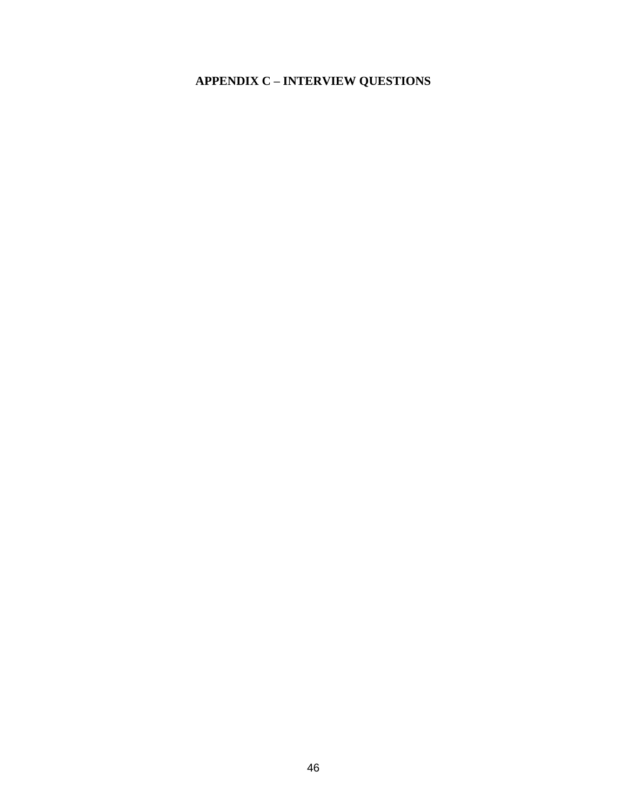# **APPENDIX C - INTERVIEW QUESTIONS**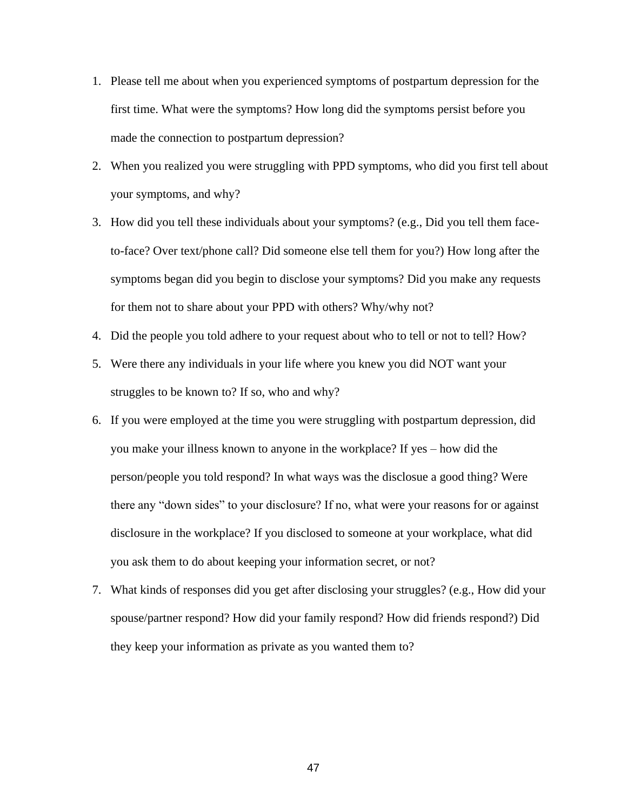- 1. Please tell me about when you experienced symptoms of postpartum depression for the first time. What were the symptoms? How long did the symptoms persist before you made the connection to postpartum depression?
- 2. When you realized you were struggling with PPD symptoms, who did you first tell about your symptoms, and why?
- 3. How did you tell these individuals about your symptoms? (e.g., Did you tell them faceto-face? Over text/phone call? Did someone else tell them for you?) How long after the symptoms began did you begin to disclose your symptoms? Did you make any requests for them not to share about your PPD with others? Why/why not?
- 4. Did the people you told adhere to your request about who to tell or not to tell? How?
- 5. Were there any individuals in your life where you knew you did NOT want your struggles to be known to? If so, who and why?
- 6. If you were employed at the time you were struggling with postpartum depression, did you make your illness known to anyone in the workplace? If yes – how did the person/people you told respond? In what ways was the disclosue a good thing? Were there any "down sides" to your disclosure? If no, what were your reasons for or against disclosure in the workplace? If you disclosed to someone at your workplace, what did you ask them to do about keeping your information secret, or not?
- 7. What kinds of responses did you get after disclosing your struggles? (e.g., How did your spouse/partner respond? How did your family respond? How did friends respond?) Did they keep your information as private as you wanted them to?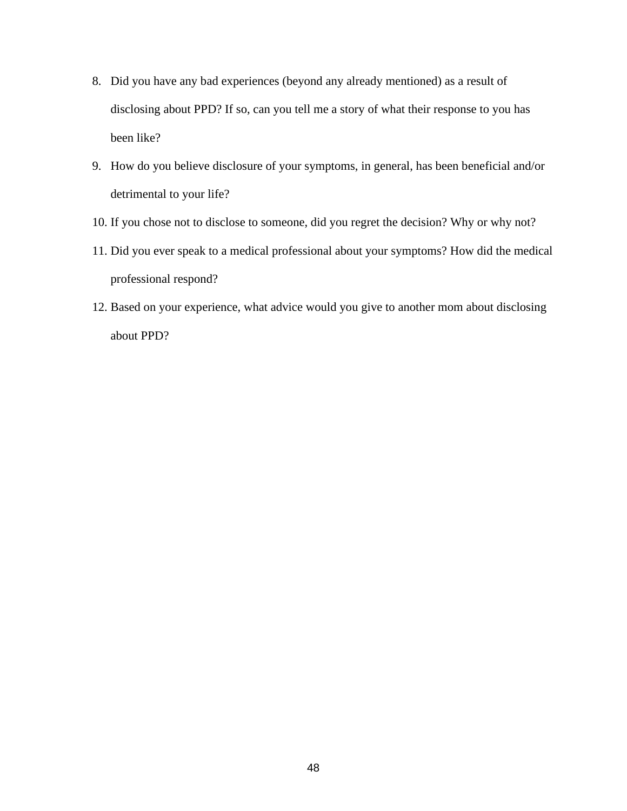- 8. Did you have any bad experiences (beyond any already mentioned) as a result of disclosing about PPD? If so, can you tell me a story of what their response to you has been like?
- 9. How do you believe disclosure of your symptoms, in general, has been beneficial and/or detrimental to your life?
- 10. If you chose not to disclose to someone, did you regret the decision? Why or why not?
- 11. Did you ever speak to a medical professional about your symptoms? How did the medical professional respond?
- 12. Based on your experience, what advice would you give to another mom about disclosing about PPD?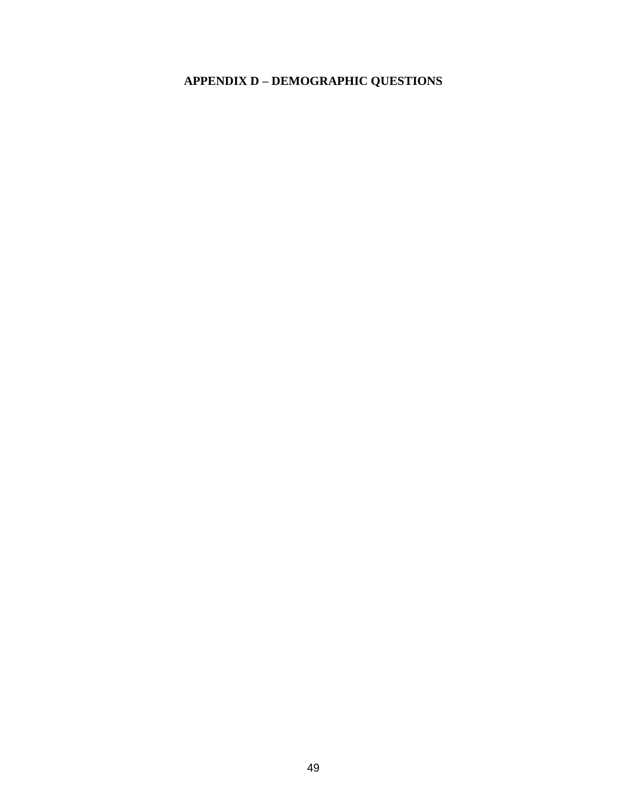# **APPENDIX D – DEMOGRAPHIC QUESTIONS**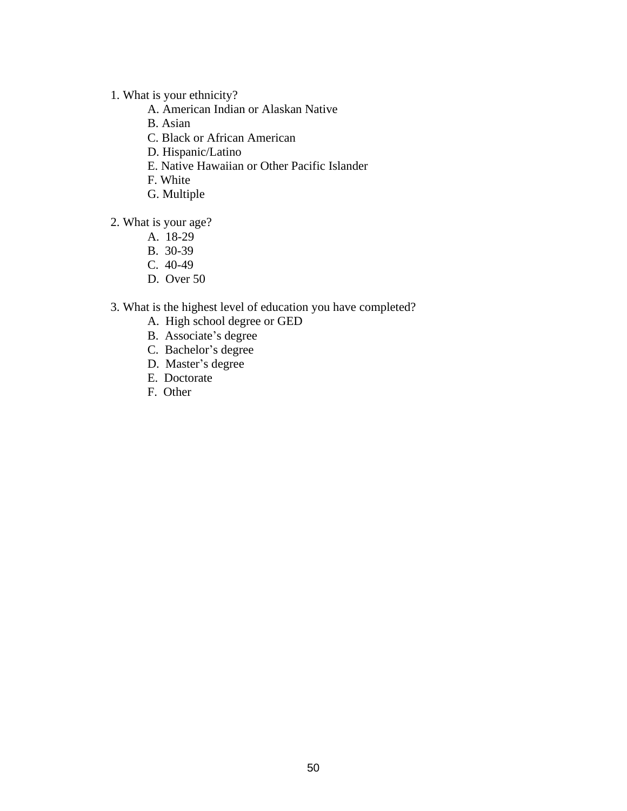- 1. What is your ethnicity?
	- A. American Indian or Alaskan Native
	- B. Asian
	- C. Black or African American
	- D. Hispanic/Latino
	- E. Native Hawaiian or Other Pacific Islander
	- F. White
	- G. Multiple
- 2. What is your age?
	- A. 18-29
	- B. 30-39
	- C. 40-49
	- D. Over 50
- 3. What is the highest level of education you have completed?
	- A. High school degree or GED
	- B. Associate's degree
	- C. Bachelor's degree
	- D. Master's degree
	- E. Doctorate
	- F. Other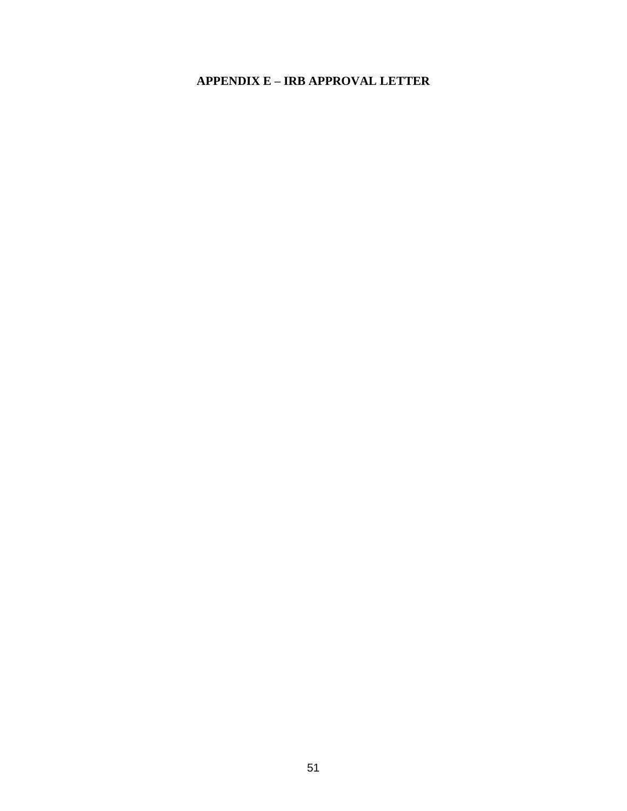## **APPENDIX E - IRB APPROVAL LETTER**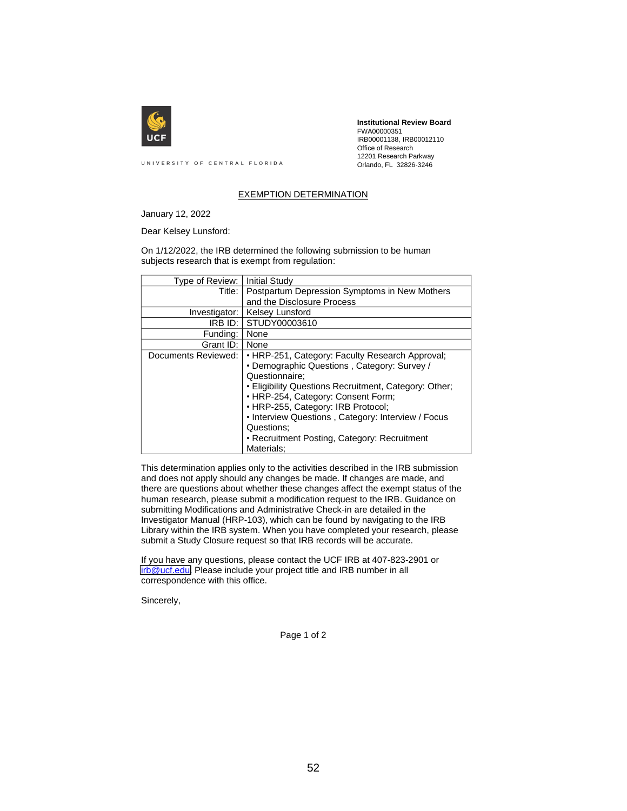

**Institutional Review Board** FWA00000351 IRB00001138, IRB00012110 Office of Research 12201 Research Parkway Orlando, FL 32826-3246

UNIVERSITY OF CENTRAL FLORIDA

#### EXEMPTION DETERMINATION

January 12, 2022

Dear Kelsey Lunsford:

On 1/12/2022, the IRB determined the following submission to be human subjects research that is exempt from regulation:

| Type of Review:     | <b>Initial Study</b>                                  |
|---------------------|-------------------------------------------------------|
| Title:              | Postpartum Depression Symptoms in New Mothers         |
|                     | and the Disclosure Process                            |
| Investigator:       | <b>Kelsey Lunsford</b>                                |
| IRB ID:             | STUDY00003610                                         |
| Funding:            | None                                                  |
| Grant ID:           | None                                                  |
| Documents Reviewed: | • HRP-251, Category: Faculty Research Approval;       |
|                     | • Demographic Questions, Category: Survey /           |
|                     | Questionnaire:                                        |
|                     | • Eligibility Questions Recruitment, Category: Other; |
|                     | • HRP-254, Category: Consent Form;                    |
|                     | • HRP-255, Category: IRB Protocol;                    |
|                     | • Interview Questions, Category: Interview / Focus    |
|                     | Questions:                                            |
|                     | • Recruitment Posting, Category: Recruitment          |
|                     | Materials:                                            |

This determination applies only to the activities described in the IRB submission and does not apply should any changes be made. If changes are made, and there are questions about whether these changes affect the exempt status of the human research, please submit a modification request to the IRB. Guidance on submitting Modifications and Administrative Check-in are detailed in the Investigator Manual (HRP-103), which can be found by navigating to the IRB Library within the IRB system. When you have completed your research, please submit a Study Closure request so that IRB records will be accurate.

If you have any questions, please contact the UCF IRB at 407-823-2901 or irb@ucf.edu. Please include your project title and IRB number in all correspondence with this office.

Sincerely,

Page 1 of 2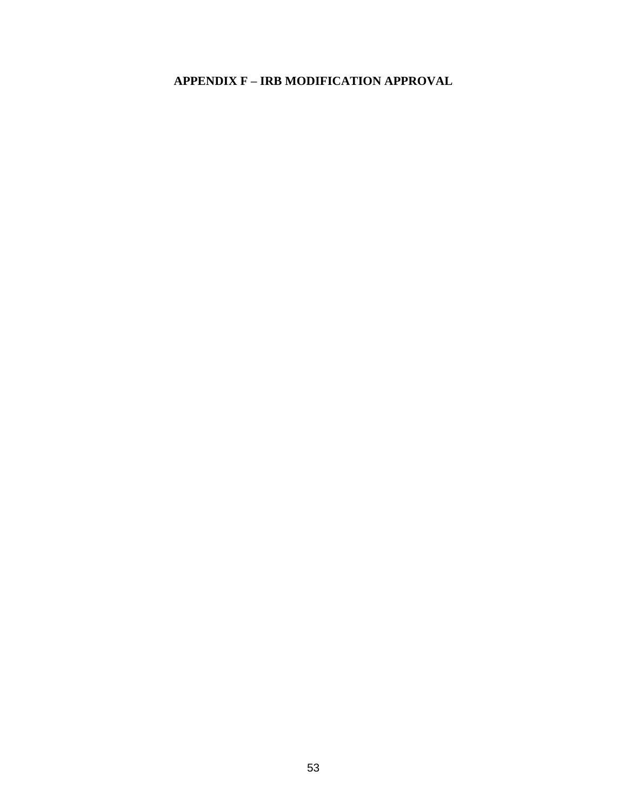## APPENDIX F - IRB MODIFICATION APPROVAL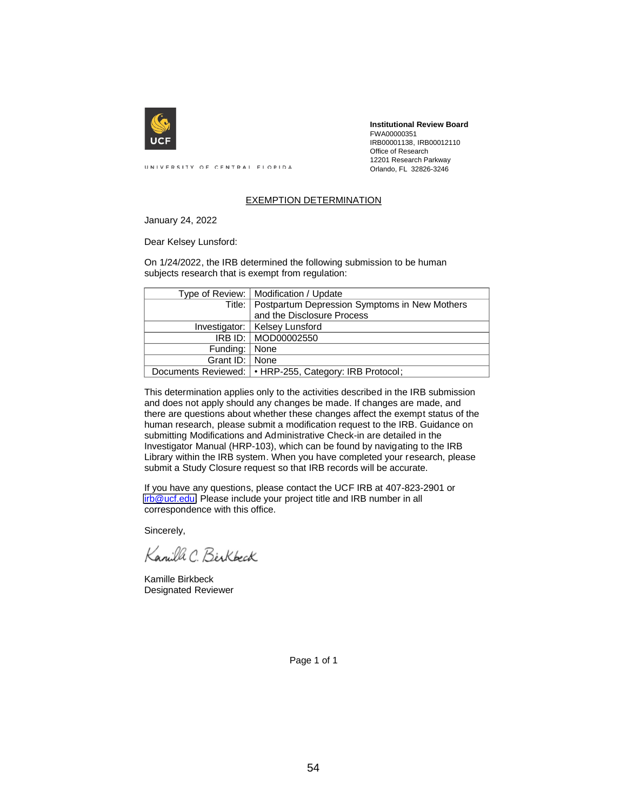

**Institutional Review Board** FWA00000351 IRB00001138, IRB00012110 Office of Research 12201 Research Parkway Orlando, FL 32826-3246

UNIVERSITY OF CENTRAL FLORIDA

#### EXEMPTION DETERMINATION

January 24, 2022

Dear Kelsey Lunsford:

On 1/24/2022, the IRB determined the following submission to be human subjects research that is exempt from regulation:

|                  | Type of Review:   Modification / Update                  |
|------------------|----------------------------------------------------------|
|                  | Title:   Postpartum Depression Symptoms in New Mothers   |
|                  | and the Disclosure Process                               |
|                  | Investigator:   Kelsey Lunsford                          |
|                  | IRB ID: MOD00002550                                      |
| Funding:   None  |                                                          |
| Grant ID:   None |                                                          |
|                  | Documents Reviewed:   • HRP-255, Category: IRB Protocol; |

This determination applies only to the activities described in the IRB submission and does not apply should any changes be made. If changes are made, and there are questions about whether these changes affect the exempt status of the human research, please submit a modification request to the IRB. Guidance on submitting Modifications and Administrative Check-in are detailed in the Investigator Manual (HRP-103), which can be found by navigating to the IRB Library within the IRB system. When you have completed your research, please submit a Study Closure request so that IRB records will be accurate.

If you have any questions, please contact the UCF IRB at 407-823-2901 or irb@ucf.edu. Please include your project title and IRB number in all correspondence with this office.

Sincerely,

Kanilla C. Birkbock

Kamille Birkbeck Designated Reviewer

Page 1 of 1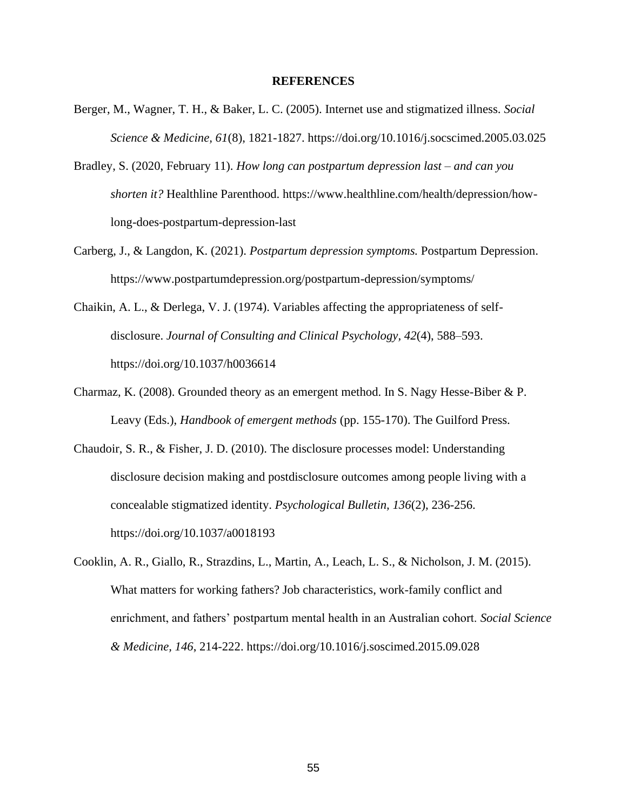#### **REFERENCES**

- Berger, M., Wagner, T. H., & Baker, L. C. (2005). Internet use and stigmatized illness. *Social Science & Medicine, 61*(8), 1821-1827. https://doi.org/10.1016/j.socscimed.2005.03.025
- Bradley, S. (2020, February 11). *How long can postpartum depression last – and can you shorten it?* Healthline Parenthood. https://www.healthline.com/health/depression/howlong-does-postpartum-depression-last
- Carberg, J., & Langdon, K. (2021). *Postpartum depression symptoms.* Postpartum Depression. https://www.postpartumdepression.org/postpartum-depression/symptoms/
- Chaikin, A. L., & Derlega, V. J. (1974). Variables affecting the appropriateness of selfdisclosure. *Journal of Consulting and Clinical Psychology, 42*(4), 588–593. https://doi.org/10.1037/h0036614
- Charmaz, K. (2008). Grounded theory as an emergent method. In S. Nagy Hesse-Biber & P. Leavy (Eds.), *Handbook of emergent methods* (pp. 155-170). The Guilford Press.
- Chaudoir, S. R., & Fisher, J. D. (2010). The disclosure processes model: Understanding disclosure decision making and postdisclosure outcomes among people living with a concealable stigmatized identity. *Psychological Bulletin, 136*(2), 236-256. https://doi.org/10.1037/a0018193
- Cooklin, A. R., Giallo, R., Strazdins, L., Martin, A., Leach, L. S., & Nicholson, J. M. (2015). What matters for working fathers? Job characteristics, work-family conflict and enrichment, and fathers' postpartum mental health in an Australian cohort. *Social Science & Medicine, 146*, 214-222. https://doi.org/10.1016/j.soscimed.2015.09.028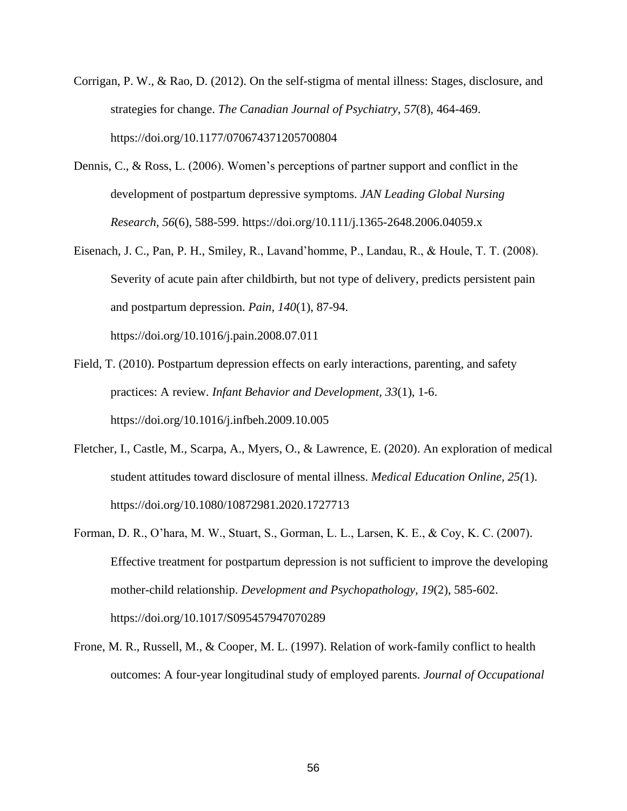- Corrigan, P. W., & Rao, D. (2012). On the self-stigma of mental illness: Stages, disclosure, and strategies for change. *The Canadian Journal of Psychiatry, 57*(8), 464-469. https://doi.org/10.1177/070674371205700804
- Dennis, C., & Ross, L. (2006). Women's perceptions of partner support and conflict in the development of postpartum depressive symptoms. *JAN Leading Global Nursing Research, 56*(6), 588-599. https://doi.org/10.111/j.1365-2648.2006.04059.x
- Eisenach, J. C., Pan, P. H., Smiley, R., Lavand'homme, P., Landau, R., & Houle, T. T. (2008). Severity of acute pain after childbirth, but not type of delivery, predicts persistent pain and postpartum depression. *Pain, 140*(1), 87-94. https://doi.org/10.1016/j.pain.2008.07.011

Field, T. (2010). Postpartum depression effects on early interactions, parenting, and safety practices: A review. *Infant Behavior and Development, 33*(1), 1-6.

https://doi.org/10.1016/j.infbeh.2009.10.005

- Fletcher, I., Castle, M., Scarpa, A., Myers, O., & Lawrence, E. (2020). An exploration of medical student attitudes toward disclosure of mental illness. *Medical Education Online, 25(*1). https://doi.org/10.1080/10872981.2020.1727713
- Forman, D. R., O'hara, M. W., Stuart, S., Gorman, L. L., Larsen, K. E., & Coy, K. C. (2007). Effective treatment for postpartum depression is not sufficient to improve the developing mother-child relationship. *Development and Psychopathology, 19*(2), 585-602. https://doi.org/10.1017/S095457947070289
- Frone, M. R., Russell, M., & Cooper, M. L. (1997). Relation of work-family conflict to health outcomes: A four-year longitudinal study of employed parents. *Journal of Occupational*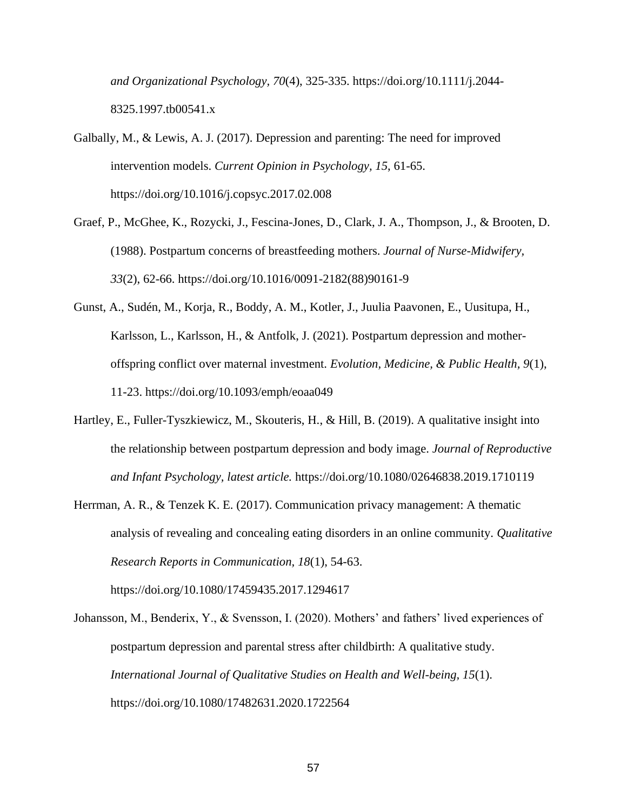*and Organizational Psychology, 70*(4), 325-335. https://doi.org/10.1111/j.2044- 8325.1997.tb00541.x

Galbally, M., & Lewis, A. J. (2017). Depression and parenting: The need for improved intervention models. *Current Opinion in Psychology, 15*, 61-65. https://doi.org/10.1016/j.copsyc.2017.02.008

- Graef, P., McGhee, K., Rozycki, J., Fescina-Jones, D., Clark, J. A., Thompson, J., & Brooten, D. (1988). Postpartum concerns of breastfeeding mothers. *Journal of Nurse-Midwifery, 33*(2), 62-66. https://doi.org/10.1016/0091-2182(88)90161-9
- Gunst, A., Sudén, M., Korja, R., Boddy, A. M., Kotler, J., Juulia Paavonen, E., Uusitupa, H., Karlsson, L., Karlsson, H., & Antfolk, J. (2021). Postpartum depression and motheroffspring conflict over maternal investment. *Evolution, Medicine, & Public Health, 9*(1), 11-23. https://doi.org/10.1093/emph/eoaa049
- Hartley, E., Fuller-Tyszkiewicz, M., Skouteris, H., & Hill, B. (2019). A qualitative insight into the relationship between postpartum depression and body image. *Journal of Reproductive and Infant Psychology, latest article.* https://doi.org/10.1080/02646838.2019.1710119
- Herrman, A. R., & Tenzek K. E. (2017). Communication privacy management: A thematic analysis of revealing and concealing eating disorders in an online community. *Qualitative Research Reports in Communication, 18*(1), 54-63. https://doi.org/10.1080/17459435.2017.1294617

Johansson, M., Benderix, Y., & Svensson, I. (2020). Mothers' and fathers' lived experiences of postpartum depression and parental stress after childbirth: A qualitative study. *International Journal of Qualitative Studies on Health and Well-being, 15*(1). https://doi.org/10.1080/17482631.2020.1722564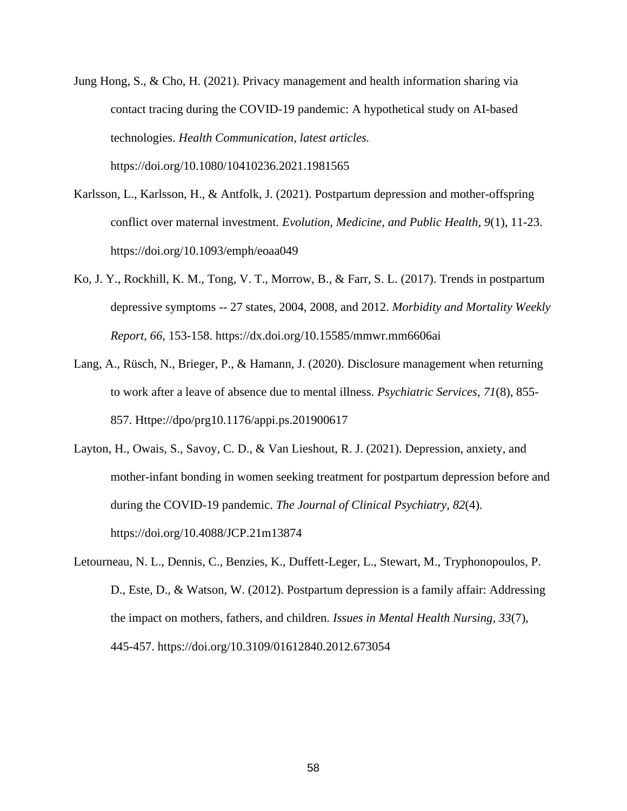- Jung Hong, S., & Cho, H. (2021). Privacy management and health information sharing via contact tracing during the COVID-19 pandemic: A hypothetical study on AI-based technologies. *Health Communication, latest articles.*  https://doi.org/10.1080/10410236.2021.1981565
- Karlsson, L., Karlsson, H., & Antfolk, J. (2021). Postpartum depression and mother-offspring conflict over maternal investment. *Evolution, Medicine, and Public Health, 9*(1), 11-23. https://doi.org/10.1093/emph/eoaa049
- Ko, J. Y., Rockhill, K. M., Tong, V. T., Morrow, B., & Farr, S. L. (2017). Trends in postpartum depressive symptoms -- 27 states, 2004, 2008, and 2012. *Morbidity and Mortality Weekly Report, 66,* 153-158. https://dx.doi.org/10.15585/mmwr.mm6606ai
- Lang, A., Rüsch, N., Brieger, P., & Hamann, J. (2020). Disclosure management when returning to work after a leave of absence due to mental illness. *Psychiatric Services, 71*(8), 855- 857. Httpe://dpo/prg10.1176/appi.ps.201900617
- Layton, H., Owais, S., Savoy, C. D., & Van Lieshout, R. J. (2021). Depression, anxiety, and mother-infant bonding in women seeking treatment for postpartum depression before and during the COVID-19 pandemic. *The Journal of Clinical Psychiatry, 82*(4). https://doi.org/10.4088/JCP.21m13874
- Letourneau, N. L., Dennis, C., Benzies, K., Duffett-Leger, L., Stewart, M., Tryphonopoulos, P. D., Este, D., & Watson, W. (2012). Postpartum depression is a family affair: Addressing the impact on mothers, fathers, and children. *Issues in Mental Health Nursing, 33*(7), 445-457. https://doi.org/10.3109/01612840.2012.673054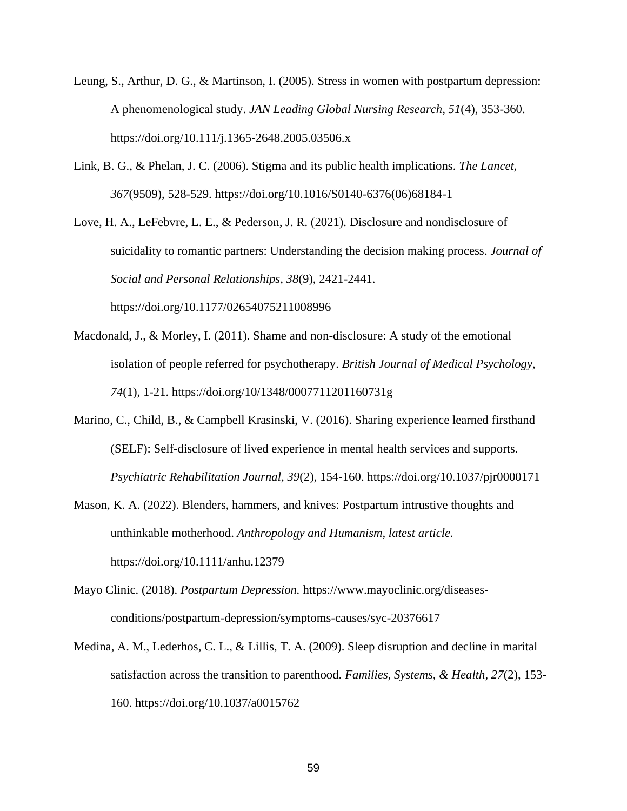- Leung, S., Arthur, D. G., & Martinson, I. (2005). Stress in women with postpartum depression: A phenomenological study. *JAN Leading Global Nursing Research, 51*(4), 353-360. https://doi.org/10.111/j.1365-2648.2005.03506.x
- Link, B. G., & Phelan, J. C. (2006). Stigma and its public health implications. *The Lancet, 367*(9509), 528-529. https://doi.org/10.1016/S0140-6376(06)68184-1

Love, H. A., LeFebvre, L. E., & Pederson, J. R. (2021). Disclosure and nondisclosure of suicidality to romantic partners: Understanding the decision making process. *Journal of Social and Personal Relationships, 38*(9), 2421-2441. https://doi.org/10.1177/02654075211008996

- Macdonald, J., & Morley, I. (2011). Shame and non-disclosure: A study of the emotional isolation of people referred for psychotherapy. *British Journal of Medical Psychology, 74*(1), 1-21. https://doi.org/10/1348/0007711201160731g
- Marino, C., Child, B., & Campbell Krasinski, V. (2016). Sharing experience learned firsthand (SELF): Self-disclosure of lived experience in mental health services and supports. *Psychiatric Rehabilitation Journal, 39*(2), 154-160. https://doi.org/10.1037/pjr0000171
- Mason, K. A. (2022). Blenders, hammers, and knives: Postpartum intrustive thoughts and unthinkable motherhood. *Anthropology and Humanism, latest article.*  https://doi.org/10.1111/anhu.12379
- Mayo Clinic. (2018). *Postpartum Depression.* https://www.mayoclinic.org/diseasesconditions/postpartum-depression/symptoms-causes/syc-20376617
- Medina, A. M., Lederhos, C. L., & Lillis, T. A. (2009). Sleep disruption and decline in marital satisfaction across the transition to parenthood. *Families, Systems, & Health, 27*(2), 153- 160[.](https://doi.org/10) https://doi.org/10.1037/a0015762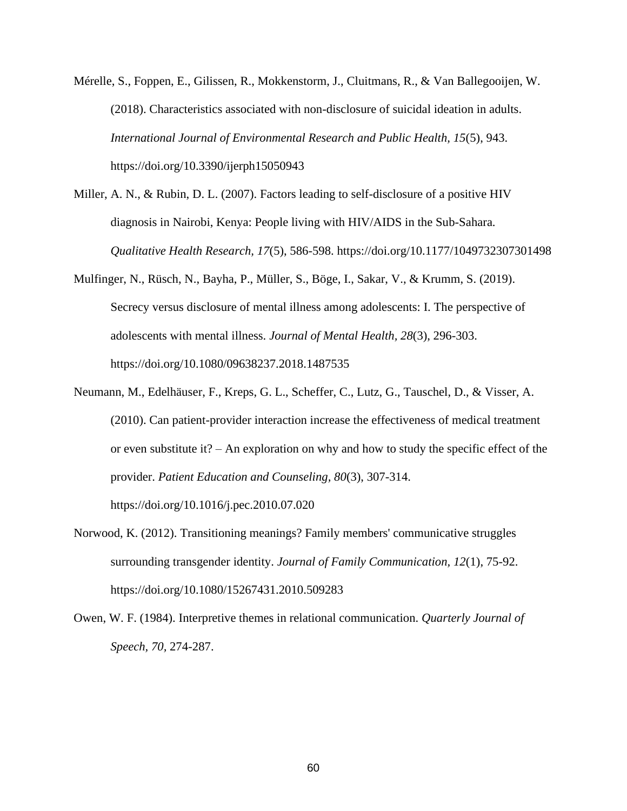Mérelle, S., Foppen, E., Gilissen, R., Mokkenstorm, J., Cluitmans, R., & Van Ballegooijen, W. (2018). Characteristics associated with non-disclosure of suicidal ideation in adults. *International Journal of Environmental Research and Public Health, 15*(5), 943. https://doi.org/10.3390/ijerph15050943

- Miller, A. N., & Rubin, D. L. (2007). Factors leading to self-disclosure of a positive HIV diagnosis in Nairobi, Kenya: People living with HIV/AIDS in the Sub-Sahara. *Qualitative Health Research, 17*(5), 586-598. https://doi.org/10.1177/1049732307301498
- Mulfinger, N., Rüsch, N., Bayha, P., Müller, S., Böge, I., Sakar, V., & Krumm, S. (2019). Secrecy versus disclosure of mental illness among adolescents: I. The perspective of adolescents with mental illness. *Journal of Mental Health, 28*(3), 296-303. https://doi.org/10.1080/09638237.2018.1487535
- Neumann, M., Edelhäuser, F., Kreps, G. L., Scheffer, C., Lutz, G., Tauschel, D., & Visser, A. (2010). Can patient-provider interaction increase the effectiveness of medical treatment or even substitute it? – An exploration on why and how to study the specific effect of the provider. *Patient Education and Counseling, 80*(3), 307-314. https://doi.org/10.1016/j.pec.2010.07.020
- Norwood, K. (2012). Transitioning meanings? Family members' communicative struggles surrounding transgender identity. *Journal of Family Communication, 12*(1), 75-92. https://doi.org/10.1080/15267431.2010.509283
- Owen, W. F. (1984). Interpretive themes in relational communication. *Quarterly Journal of Speech, 70,* 274-287.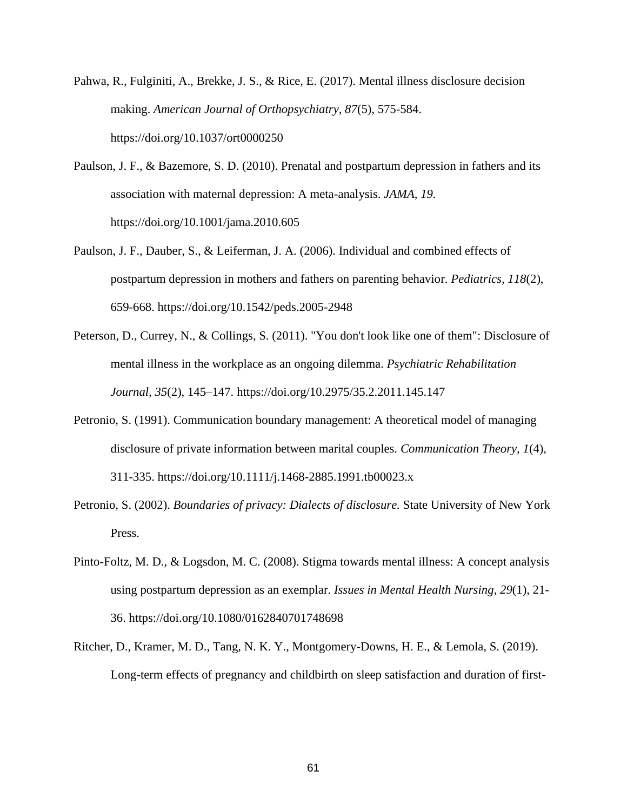- Pahwa, R., Fulginiti, A., Brekke, J. S., & Rice, E. (2017). Mental illness disclosure decision making. *American Journal of Orthopsychiatry, 87*(5), 575-584. https://doi.org/10.1037/ort0000250
- Paulson, J. F., & Bazemore, S. D. (2010). Prenatal and postpartum depression in fathers and its association with maternal depression: A meta-analysis. *JAMA, 19.* https://doi.org/10.1001/jama.2010.605
- Paulson, J. F., Dauber, S., & Leiferman, J. A. (2006). Individual and combined effects of postpartum depression in mothers and fathers on parenting behavior. *Pediatrics, 118*(2), 659-668. https://doi.org/10.1542/peds.2005-2948
- Peterson, D., Currey, N., & Collings, S. (2011). "You don't look like one of them": Disclosure of mental illness in the workplace as an ongoing dilemma. *Psychiatric Rehabilitation Journal, 35*(2), 145–147. https://doi.org/10.2975/35.2.2011.145.147
- Petronio, S. (1991). Communication boundary management: A theoretical model of managing disclosure of private information between marital couples. *Communication Theory, 1*(4), 311-335. https://doi.org/10.1111/j.1468-2885.1991.tb00023.x
- Petronio, S. (2002). *Boundaries of privacy: Dialects of disclosure.* State University of New York Press.
- Pinto-Foltz, M. D., & Logsdon, M. C. (2008). Stigma towards mental illness: A concept analysis using postpartum depression as an exemplar. *Issues in Mental Health Nursing, 29*(1), 21- 36. https://doi.org/10.1080/0162840701748698
- Ritcher, D., Kramer, M. D., Tang, N. K. Y., Montgomery-Downs, H. E., & Lemola, S. (2019). Long-term effects of pregnancy and childbirth on sleep satisfaction and duration of first-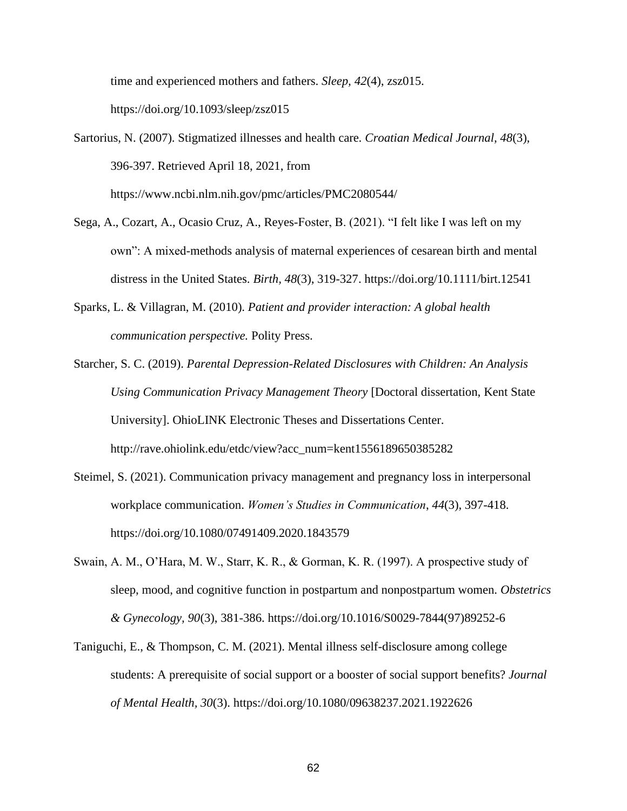time and experienced mothers and fathers. *Sleep, 42*(4), zsz015.

https://doi.org/10.1093/sleep/zsz015

- Sartorius, N. (2007). Stigmatized illnesses and health care. *Croatian Medical Journal, 48*(3), 396-397. Retrieved April 18, 2021, from https://www.ncbi.nlm.nih.gov/pmc/articles/PMC2080544/
- Sega, A., Cozart, A., Ocasio Cruz, A., Reyes-Foster, B. (2021). "I felt like I was left on my own": A mixed-methods analysis of maternal experiences of cesarean birth and mental distress in the United States. *Birth, 48*(3), 319-327. https://doi.org/10.1111/birt.12541
- Sparks, L. & Villagran, M. (2010). *Patient and provider interaction: A global health communication perspective.* Polity Press.
- Starcher, S. C. (2019). *Parental Depression-Related Disclosures with Children: An Analysis Using Communication Privacy Management Theory* [Doctoral dissertation, Kent State University]. OhioLINK Electronic Theses and Dissertations Center. http://rave.ohiolink.edu/etdc/view?acc\_num=kent1556189650385282
- Steimel, S. (2021). Communication privacy management and pregnancy loss in interpersonal workplace communication. *Women's Studies in Communication*, *44*(3), 397-418. https://doi.org/10.1080/07491409.2020.1843579
- Swain, A. M., O'Hara, M. W., Starr, K. R., & Gorman, K. R. (1997). A prospective study of sleep, mood, and cognitive function in postpartum and nonpostpartum women. *Obstetrics & Gynecology, 90*(3), 381-386. https://doi.org/10.1016/S0029-7844(97)89252-6
- Taniguchi, E., & Thompson, C. M. (2021). Mental illness self-disclosure among college students: A prerequisite of social support or a booster of social support benefits? *Journal of Mental Health, 30*(3). https://doi.org/10.1080/09638237.2021.1922626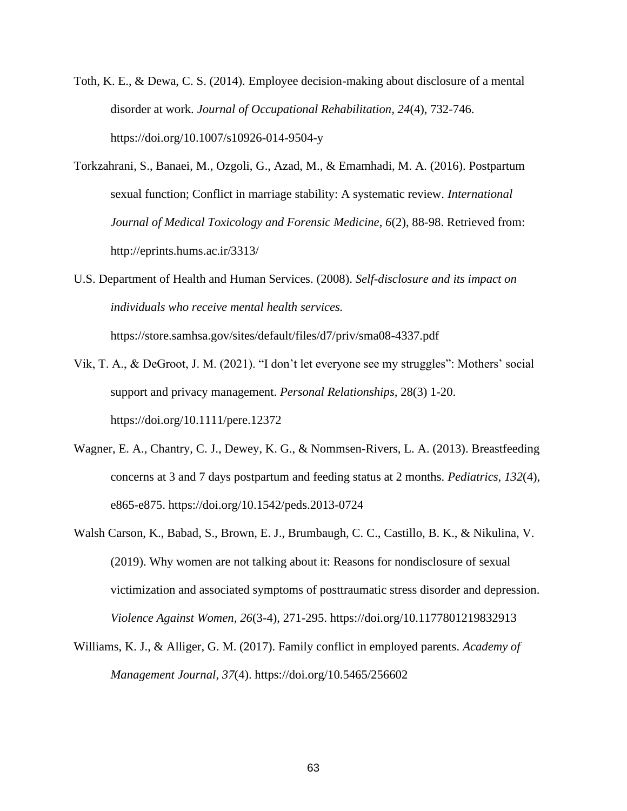- Toth, K. E., & Dewa, C. S. (2014). Employee decision-making about disclosure of a mental disorder at work. *Journal of Occupational Rehabilitation, 24*(4), 732-746. https://doi.org/10.1007/s10926-014-9504-y
- Torkzahrani, S., Banaei, M., Ozgoli, G., Azad, M., & Emamhadi, M. A. (2016). Postpartum sexual function; Conflict in marriage stability: A systematic review. *International Journal of Medical Toxicology and Forensic Medicine, 6*(2), 88-98. Retrieved from: http://eprints.hums.ac.ir/3313/
- U.S. Department of Health and Human Services. (2008). *Self-disclosure and its impact on individuals who receive mental health services.*

https://store.samhsa.gov/sites/default/files/d7/priv/sma08-4337.pdf

- Vik, T. A., & DeGroot, J. M. (2021). "I don't let everyone see my struggles": Mothers' social support and privacy management. *Personal Relationships,* 28(3) 1-20. https://doi.org/10.1111/pere.12372
- Wagner, E. A., Chantry, C. J., Dewey, K. G., & Nommsen-Rivers, L. A. (2013). Breastfeeding concerns at 3 and 7 days postpartum and feeding status at 2 months. *Pediatrics, 132*(4), e865-e875. https://doi.org/10.1542/peds.2013-0724
- Walsh Carson, K., Babad, S., Brown, E. J., Brumbaugh, C. C., Castillo, B. K., & Nikulina, V. (2019). Why women are not talking about it: Reasons for nondisclosure of sexual victimization and associated symptoms of posttraumatic stress disorder and depression. *Violence Against Women, 26*(3-4), 271-295. https://doi.org/10.1177801219832913
- Williams, K. J., & Alliger, G. M. (2017). Family conflict in employed parents. *Academy of Management Journal, 37*(4). https://doi.org/10.5465/256602